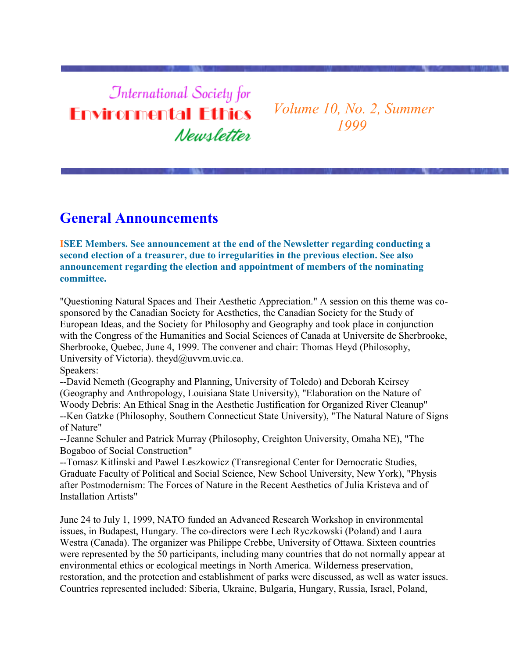# **International Society for Environmental Ethics** Newsletter

*Volume 10, No. 2, Summer 1999*

### **General Announcements**

**ISEE Members. See announcement at the end of the Newsletter regarding conducting a second election of a treasurer, due to irregularities in the previous election. See also announcement regarding the election and appointment of members of the nominating committee.**

"Questioning Natural Spaces and Their Aesthetic Appreciation." A session on this theme was cosponsored by the Canadian Society for Aesthetics, the Canadian Society for the Study of European Ideas, and the Society for Philosophy and Geography and took place in conjunction with the Congress of the Humanities and Social Sciences of Canada at Universite de Sherbrooke, Sherbrooke, Quebec, June 4, 1999. The convener and chair: Thomas Heyd (Philosophy, University of Victoria). theyd@uvvm.uvic.ca. Speakers:

--David Nemeth (Geography and Planning, University of Toledo) and Deborah Keirsey (Geography and Anthropology, Louisiana State University), "Elaboration on the Nature of Woody Debris: An Ethical Snag in the Aesthetic Justification for Organized River Cleanup" --Ken Gatzke (Philosophy, Southern Connecticut State University), "The Natural Nature of Signs of Nature"

--Jeanne Schuler and Patrick Murray (Philosophy, Creighton University, Omaha NE), "The Bogaboo of Social Construction"

--Tomasz Kitlinski and Pawel Leszkowicz (Transregional Center for Democratic Studies, Graduate Faculty of Political and Social Science, New School University, New York), "Physis after Postmodernism: The Forces of Nature in the Recent Aesthetics of Julia Kristeva and of Installation Artists"

June 24 to July 1, 1999, NATO funded an Advanced Research Workshop in environmental issues, in Budapest, Hungary. The co-directors were Lech Ryczkowski (Poland) and Laura Westra (Canada). The organizer was Philippe Crebbe, University of Ottawa. Sixteen countries were represented by the 50 participants, including many countries that do not normally appear at environmental ethics or ecological meetings in North America. Wilderness preservation, restoration, and the protection and establishment of parks were discussed, as well as water issues. Countries represented included: Siberia, Ukraine, Bulgaria, Hungary, Russia, Israel, Poland,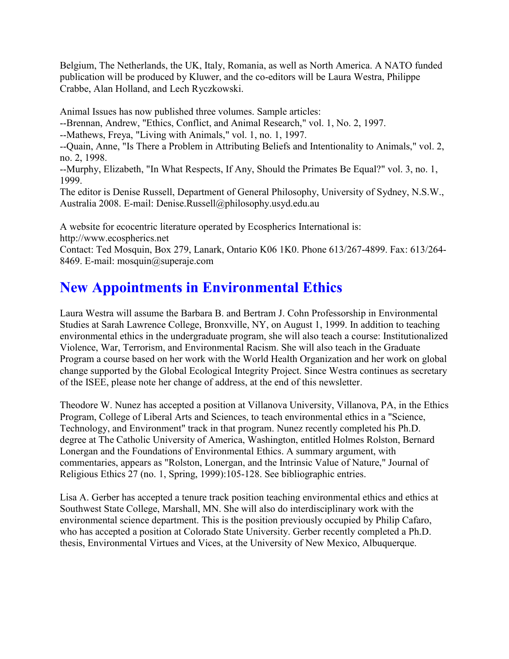Belgium, The Netherlands, the UK, Italy, Romania, as well as North America. A NATO funded publication will be produced by Kluwer, and the co-editors will be Laura Westra, Philippe Crabbe, Alan Holland, and Lech Ryczkowski.

Animal Issues has now published three volumes. Sample articles:

--Brennan, Andrew, "Ethics, Conflict, and Animal Research," vol. 1, No. 2, 1997.

--Mathews, Freya, "Living with Animals," vol. 1, no. 1, 1997.

--Quain, Anne, "Is There a Problem in Attributing Beliefs and Intentionality to Animals," vol. 2, no. 2, 1998.

--Murphy, Elizabeth, "In What Respects, If Any, Should the Primates Be Equal?" vol. 3, no. 1, 1999.

The editor is Denise Russell, Department of General Philosophy, University of Sydney, N.S.W., Australia 2008. E-mail: Denise.Russell@philosophy.usyd.edu.au

A website for ecocentric literature operated by Ecospherics International is: http://www.ecospherics.net Contact: Ted Mosquin, Box 279, Lanark, Ontario K06 1K0. Phone 613/267-4899. Fax: 613/264- 8469. E-mail: mosquin@superaje.com

# **New Appointments in Environmental Ethics**

Laura Westra will assume the Barbara B. and Bertram J. Cohn Professorship in Environmental Studies at Sarah Lawrence College, Bronxville, NY, on August 1, 1999. In addition to teaching environmental ethics in the undergraduate program, she will also teach a course: Institutionalized Violence, War, Terrorism, and Environmental Racism. She will also teach in the Graduate Program a course based on her work with the World Health Organization and her work on global change supported by the Global Ecological Integrity Project. Since Westra continues as secretary of the ISEE, please note her change of address, at the end of this newsletter.

Theodore W. Nunez has accepted a position at Villanova University, Villanova, PA, in the Ethics Program, College of Liberal Arts and Sciences, to teach environmental ethics in a "Science, Technology, and Environment" track in that program. Nunez recently completed his Ph.D. degree at The Catholic University of America, Washington, entitled Holmes Rolston, Bernard Lonergan and the Foundations of Environmental Ethics. A summary argument, with commentaries, appears as "Rolston, Lonergan, and the Intrinsic Value of Nature," Journal of Religious Ethics 27 (no. 1, Spring, 1999):105-128. See bibliographic entries.

Lisa A. Gerber has accepted a tenure track position teaching environmental ethics and ethics at Southwest State College, Marshall, MN. She will also do interdisciplinary work with the environmental science department. This is the position previously occupied by Philip Cafaro, who has accepted a position at Colorado State University. Gerber recently completed a Ph.D. thesis, Environmental Virtues and Vices, at the University of New Mexico, Albuquerque.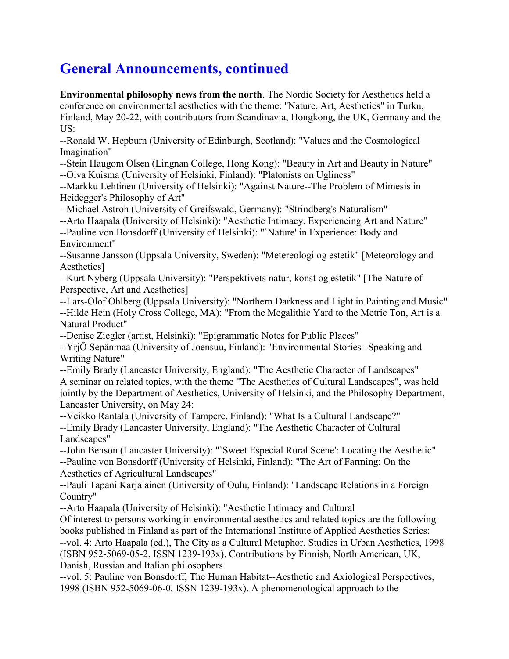# **General Announcements, continued**

**Environmental philosophy news from the north**. The Nordic Society for Aesthetics held a conference on environmental aesthetics with the theme: "Nature, Art, Aesthetics" in Turku, Finland, May 20-22, with contributors from Scandinavia, Hongkong, the UK, Germany and the US:

--Ronald W. Hepburn (University of Edinburgh, Scotland): "Values and the Cosmological Imagination"

--Stein Haugom Olsen (Lingnan College, Hong Kong): "Beauty in Art and Beauty in Nature" --Oiva Kuisma (University of Helsinki, Finland): "Platonists on Ugliness"

--Markku Lehtinen (University of Helsinki): "Against Nature--The Problem of Mimesis in Heidegger's Philosophy of Art"

--Michael Astroh (University of Greifswald, Germany): "Strindberg's Naturalism"

--Arto Haapala (University of Helsinki): "Aesthetic Intimacy. Experiencing Art and Nature"

--Pauline von Bonsdorff (University of Helsinki): "`Nature' in Experience: Body and Environment"

--Susanne Jansson (Uppsala University, Sweden): "Metereologi og estetik" [Meteorology and Aesthetics]

--Kurt Nyberg (Uppsala University): "Perspektivets natur, konst og estetik" [The Nature of Perspective, Art and Aesthetics]

--Lars-Olof Ohlberg (Uppsala University): "Northern Darkness and Light in Painting and Music" --Hilde Hein (Holy Cross College, MA): "From the Megalithic Yard to the Metric Ton, Art is a Natural Product"

--Denise Ziegler (artist, Helsinki): "Epigrammatic Notes for Public Places"

--YrjÖ Sepänmaa (University of Joensuu, Finland): "Environmental Stories--Speaking and Writing Nature"

--Emily Brady (Lancaster University, England): "The Aesthetic Character of Landscapes" A seminar on related topics, with the theme "The Aesthetics of Cultural Landscapes", was held jointly by the Department of Aesthetics, University of Helsinki, and the Philosophy Department, Lancaster University, on May 24:

--Veikko Rantala (University of Tampere, Finland): "What Is a Cultural Landscape?" --Emily Brady (Lancaster University, England): "The Aesthetic Character of Cultural Landscapes"

--John Benson (Lancaster University): "`Sweet Especial Rural Scene': Locating the Aesthetic" --Pauline von Bonsdorff (University of Helsinki, Finland): "The Art of Farming: On the Aesthetics of Agricultural Landscapes"

--Pauli Tapani Karjalainen (University of Oulu, Finland): "Landscape Relations in a Foreign Country"

--Arto Haapala (University of Helsinki): "Aesthetic Intimacy and Cultural

Of interest to persons working in environmental aesthetics and related topics are the following books published in Finland as part of the International Institute of Applied Aesthetics Series: --vol. 4: Arto Haapala (ed.), The City as a Cultural Metaphor. Studies in Urban Aesthetics, 1998 (ISBN 952-5069-05-2, ISSN 1239-193x). Contributions by Finnish, North American, UK, Danish, Russian and Italian philosophers.

--vol. 5: Pauline von Bonsdorff, The Human Habitat--Aesthetic and Axiological Perspectives, 1998 (ISBN 952-5069-06-0, ISSN 1239-193x). A phenomenological approach to the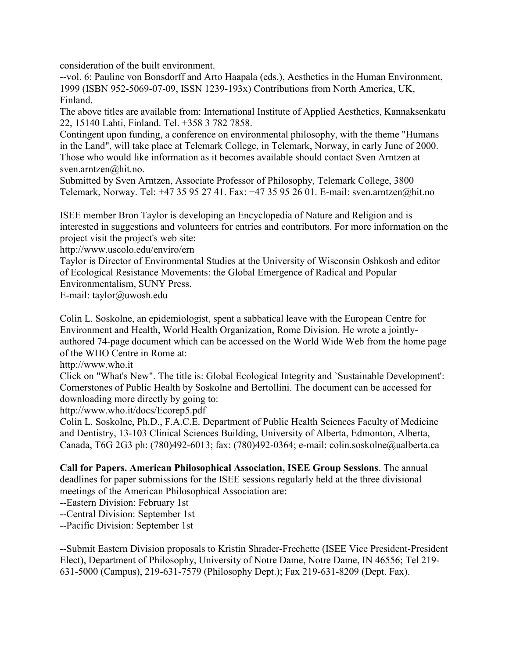consideration of the built environment.

--vol. 6: Pauline von Bonsdorff and Arto Haapala (eds.), Aesthetics in the Human Environment, 1999 (ISBN 952-5069-07-09, ISSN 1239-193x) Contributions from North America, UK, Finland.

The above titles are available from: International Institute of Applied Aesthetics, Kannaksenkatu 22, 15140 Lahti, Finland. Tel. +358 3 782 7858.

Contingent upon funding, a conference on environmental philosophy, with the theme "Humans in the Land", will take place at Telemark College, in Telemark, Norway, in early June of 2000. Those who would like information as it becomes available should contact Sven Arntzen at sven.arntzen@hit.no.

Submitted by Sven Arntzen, Associate Professor of Philosophy, Telemark College, 3800 Telemark, Norway. Tel: +47 35 95 27 41. Fax: +47 35 95 26 01. E-mail: sven.arntzen@hit.no

ISEE member Bron Taylor is developing an Encyclopedia of Nature and Religion and is interested in suggestions and volunteers for entries and contributors. For more information on the project visit the project's web site:

http://www.uscolo.edu/enviro/ern

Taylor is Director of Environmental Studies at the University of Wisconsin Oshkosh and editor of Ecological Resistance Movements: the Global Emergence of Radical and Popular Environmentalism, SUNY Press.

E-mail: taylor@uwosh.edu

Colin L. Soskolne, an epidemiologist, spent a sabbatical leave with the European Centre for Environment and Health, World Health Organization, Rome Division. He wrote a jointlyauthored 74-page document which can be accessed on the World Wide Web from the home page of the WHO Centre in Rome at:

http://www.who.it

Click on "What's New". The title is: Global Ecological Integrity and `Sustainable Development': Cornerstones of Public Health by Soskolne and Bertollini. The document can be accessed for downloading more directly by going to:

http://www.who.it/docs/Ecorep5.pdf

Colin L. Soskolne, Ph.D., F.A.C.E. Department of Public Health Sciences Faculty of Medicine and Dentistry, 13-103 Clinical Sciences Building, University of Alberta, Edmonton, Alberta, Canada, T6G 2G3 ph: (780)492-6013; fax: (780)492-0364; e-mail: colin.soskolne@ualberta.ca

**Call for Papers. American Philosophical Association, ISEE Group Sessions**. The annual deadlines for paper submissions for the ISEE sessions regularly held at the three divisional meetings of the American Philosophical Association are:

--Eastern Division: February 1st

--Central Division: September 1st

--Pacific Division: September 1st

--Submit Eastern Division proposals to Kristin Shrader-Frechette (ISEE Vice President-President Elect), Department of Philosophy, University of Notre Dame, Notre Dame, IN 46556; Tel 219- 631-5000 (Campus), 219-631-7579 (Philosophy Dept.); Fax 219-631-8209 (Dept. Fax).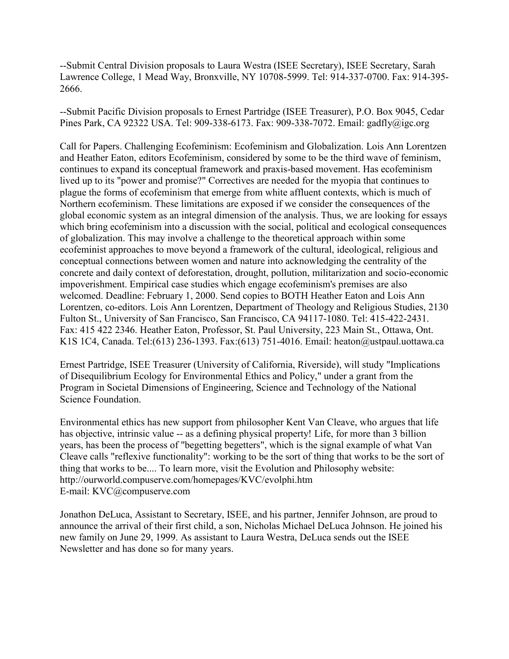--Submit Central Division proposals to Laura Westra (ISEE Secretary), ISEE Secretary, Sarah Lawrence College, 1 Mead Way, Bronxville, NY 10708-5999. Tel: 914-337-0700. Fax: 914-395- 2666.

--Submit Pacific Division proposals to Ernest Partridge (ISEE Treasurer), P.O. Box 9045, Cedar Pines Park, CA 92322 USA. Tel: 909-338-6173. Fax: 909-338-7072. Email: gadfly@igc.org

Call for Papers. Challenging Ecofeminism: Ecofeminism and Globalization. Lois Ann Lorentzen and Heather Eaton, editors Ecofeminism, considered by some to be the third wave of feminism, continues to expand its conceptual framework and praxis-based movement. Has ecofeminism lived up to its "power and promise?" Correctives are needed for the myopia that continues to plague the forms of ecofeminism that emerge from white affluent contexts, which is much of Northern ecofeminism. These limitations are exposed if we consider the consequences of the global economic system as an integral dimension of the analysis. Thus, we are looking for essays which bring ecofeminism into a discussion with the social, political and ecological consequences of globalization. This may involve a challenge to the theoretical approach within some ecofeminist approaches to move beyond a framework of the cultural, ideological, religious and conceptual connections between women and nature into acknowledging the centrality of the concrete and daily context of deforestation, drought, pollution, militarization and socio-economic impoverishment. Empirical case studies which engage ecofeminism's premises are also welcomed. Deadline: February 1, 2000. Send copies to BOTH Heather Eaton and Lois Ann Lorentzen, co-editors. Lois Ann Lorentzen, Department of Theology and Religious Studies, 2130 Fulton St., University of San Francisco, San Francisco, CA 94117-1080. Tel: 415-422-2431. Fax: 415 422 2346. Heather Eaton, Professor, St. Paul University, 223 Main St., Ottawa, Ont. K1S 1C4, Canada. Tel:(613) 236-1393. Fax:(613) 751-4016. Email: heaton@ustpaul.uottawa.ca

Ernest Partridge, ISEE Treasurer (University of California, Riverside), will study "Implications of Disequilibrium Ecology for Environmental Ethics and Policy," under a grant from the Program in Societal Dimensions of Engineering, Science and Technology of the National Science Foundation.

Environmental ethics has new support from philosopher Kent Van Cleave, who argues that life has objective, intrinsic value -- as a defining physical property! Life, for more than 3 billion years, has been the process of "begetting begetters", which is the signal example of what Van Cleave calls "reflexive functionality": working to be the sort of thing that works to be the sort of thing that works to be.... To learn more, visit the Evolution and Philosophy website: http://ourworld.compuserve.com/homepages/KVC/evolphi.htm E-mail: KVC@compuserve.com

Jonathon DeLuca, Assistant to Secretary, ISEE, and his partner, Jennifer Johnson, are proud to announce the arrival of their first child, a son, Nicholas Michael DeLuca Johnson. He joined his new family on June 29, 1999. As assistant to Laura Westra, DeLuca sends out the ISEE Newsletter and has done so for many years.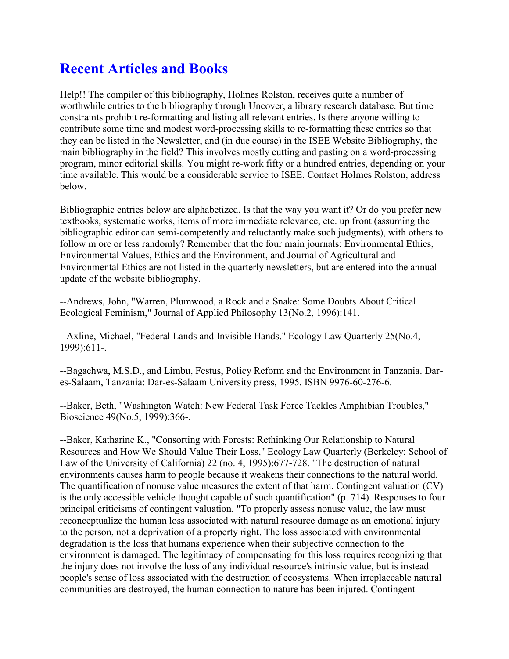### **Recent Articles and Books**

Help!! The compiler of this bibliography, Holmes Rolston, receives quite a number of worthwhile entries to the bibliography through Uncover, a library research database. But time constraints prohibit re-formatting and listing all relevant entries. Is there anyone willing to contribute some time and modest word-processing skills to re-formatting these entries so that they can be listed in the Newsletter, and (in due course) in the ISEE Website Bibliography, the main bibliography in the field? This involves mostly cutting and pasting on a word-processing program, minor editorial skills. You might re-work fifty or a hundred entries, depending on your time available. This would be a considerable service to ISEE. Contact Holmes Rolston, address below.

Bibliographic entries below are alphabetized. Is that the way you want it? Or do you prefer new textbooks, systematic works, items of more immediate relevance, etc. up front (assuming the bibliographic editor can semi-competently and reluctantly make such judgments), with others to follow m ore or less randomly? Remember that the four main journals: Environmental Ethics, Environmental Values, Ethics and the Environment, and Journal of Agricultural and Environmental Ethics are not listed in the quarterly newsletters, but are entered into the annual update of the website bibliography.

--Andrews, John, "Warren, Plumwood, a Rock and a Snake: Some Doubts About Critical Ecological Feminism," Journal of Applied Philosophy 13(No.2, 1996):141.

--Axline, Michael, "Federal Lands and Invisible Hands," Ecology Law Quarterly 25(No.4, 1999):611-.

--Bagachwa, M.S.D., and Limbu, Festus, Policy Reform and the Environment in Tanzania. Dares-Salaam, Tanzania: Dar-es-Salaam University press, 1995. ISBN 9976-60-276-6.

--Baker, Beth, "Washington Watch: New Federal Task Force Tackles Amphibian Troubles," Bioscience 49(No.5, 1999):366-.

--Baker, Katharine K., "Consorting with Forests: Rethinking Our Relationship to Natural Resources and How We Should Value Their Loss," Ecology Law Quarterly (Berkeley: School of Law of the University of California) 22 (no. 4, 1995):677-728. "The destruction of natural environments causes harm to people because it weakens their connections to the natural world. The quantification of nonuse value measures the extent of that harm. Contingent valuation (CV) is the only accessible vehicle thought capable of such quantification" (p. 714). Responses to four principal criticisms of contingent valuation. "To properly assess nonuse value, the law must reconceptualize the human loss associated with natural resource damage as an emotional injury to the person, not a deprivation of a property right. The loss associated with environmental degradation is the loss that humans experience when their subjective connection to the environment is damaged. The legitimacy of compensating for this loss requires recognizing that the injury does not involve the loss of any individual resource's intrinsic value, but is instead people's sense of loss associated with the destruction of ecosystems. When irreplaceable natural communities are destroyed, the human connection to nature has been injured. Contingent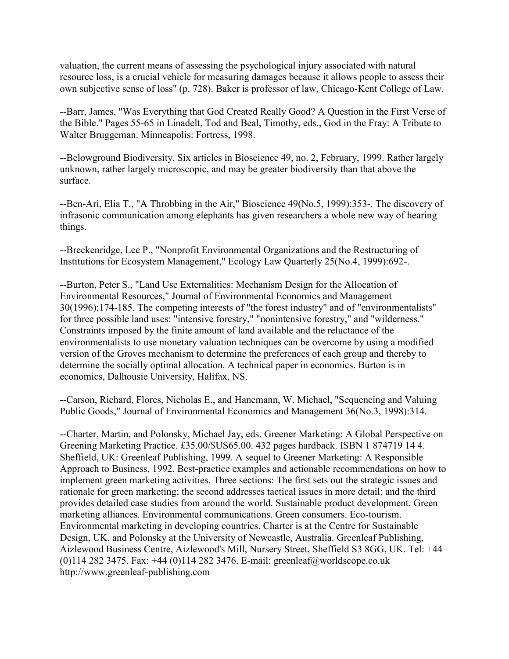valuation, the current means of assessing the psychological injury associated with natural resource loss, is a crucial vehicle for measuring damages because it allows people to assess their own subjective sense of loss" (p. 728). Baker is professor of law, Chicago-Kent College of Law.

--Barr, James, "Was Everything that God Created Really Good? A Question in the First Verse of the Bible." Pages 55-65 in Linadelt, Tod and Beal, Timothy, eds., God in the Fray: A Tribute to Walter Bruggeman. Minneapolis: Fortress, 1998.

--Belowground Biodiversity, Six articles in Bioscience 49, no. 2, February, 1999. Rather largely unknown, rather largely microscopic, and may be greater biodiversity than that above the surface.

--Ben-Ari, Elia T., "A Throbbing in the Air," Bioscience 49(No.5, 1999):353-. The discovery of infrasonic communication among elephants has given researchers a whole new way of hearing things.

--Breckenridge, Lee P., "Nonprofit Environmental Organizations and the Restructuring of Institutions for Ecosystem Management," Ecology Law Quarterly 25(No.4, 1999):692-.

--Burton, Peter S., "Land Use Externalities: Mechanism Design for the Allocation of Environmental Resources," Journal of Environmental Economics and Management 30(1996);174-185. The competing interests of "the forest industry" and of "environmentalists" for three possible land uses: "intensive forestry," "nonintensive forestry," and "wilderness." Constraints imposed by the finite amount of land available and the reluctance of the environmentalists to use monetary valuation techniques can be overcome by using a modified version of the Groves mechanism to determine the preferences of each group and thereby to determine the socially optimal allocation. A technical paper in economics. Burton is in economics, Dalhousie University, Halifax, NS.

--Carson, Richard, Flores, Nicholas E., and Hanemann, W. Michael, "Sequencing and Valuing Public Goods," Journal of Environmental Economics and Management 36(No.3, 1998):314.

--Charter, Martin, and Polonsky, Michael Jay, eds. Greener Marketing: A Global Perspective on Greening Marketing Practice. £35.00/\$US65.00. 432 pages hardback. ISBN 1 874719 14 4. Sheffield, UK: Greenleaf Publishing, 1999. A sequel to Greener Marketing: A Responsible Approach to Business, 1992. Best-practice examples and actionable recommendations on how to implement green marketing activities. Three sections: The first sets out the strategic issues and rationale for green marketing; the second addresses tactical issues in more detail; and the third provides detailed case studies from around the world. Sustainable product development. Green marketing alliances. Environmental communications. Green consumers. Eco-tourism. Environmental marketing in developing countries. Charter is at the Centre for Sustainable Design, UK, and Polonsky at the University of Newcastle, Australia. Greenleaf Publishing, Aizlewood Business Centre, Aizlewood's Mill, Nursery Street, Sheffield S3 8GG, UK. Tel: +44 (0)114 282 3475. Fax: +44 (0)114 282 3476. E-mail: greenleaf@worldscope.co.uk http://www.greenleaf-publishing.com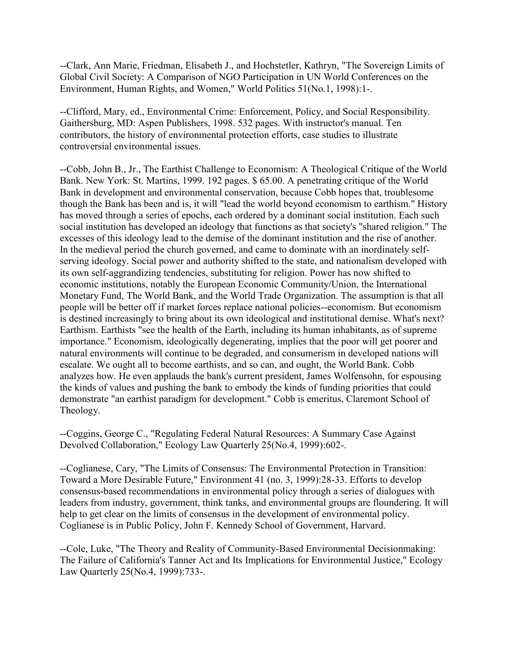--Clark, Ann Marie, Friedman, Elisabeth J., and Hochstetler, Kathryn, "The Sovereign Limits of Global Civil Society: A Comparison of NGO Participation in UN World Conferences on the Environment, Human Rights, and Women," World Politics 51(No.1, 1998):1-.

--Clifford, Mary, ed., Environmental Crime: Enforcement, Policy, and Social Responsibility. Gaithersburg, MD: Aspen Publishers, 1998. 532 pages. With instructor's manual. Ten contributors, the history of environmental protection efforts, case studies to illustrate controversial environmental issues.

--Cobb, John B., Jr., The Earthist Challenge to Economism: A Theological Critique of the World Bank. New York: St. Martins, 1999. 192 pages. \$ 65.00. A penetrating critique of the World Bank in development and environmental conservation, because Cobb hopes that, troublesome though the Bank has been and is, it will "lead the world beyond economism to earthism." History has moved through a series of epochs, each ordered by a dominant social institution. Each such social institution has developed an ideology that functions as that society's "shared religion." The excesses of this ideology lead to the demise of the dominant institution and the rise of another. In the medieval period the church governed, and came to dominate with an inordinately selfserving ideology. Social power and authority shifted to the state, and nationalism developed with its own self-aggrandizing tendencies, substituting for religion. Power has now shifted to economic institutions, notably the European Economic Community/Union, the International Monetary Fund, The World Bank, and the World Trade Organization. The assumption is that all people will be better off if market forces replace national policies--economism. But economism is destined increasingly to bring about its own ideological and institutional demise. What's next? Earthism. Earthists "see the health of the Earth, including its human inhabitants, as of supreme importance." Economism, ideologically degenerating, implies that the poor will get poorer and natural environments will continue to be degraded, and consumerism in developed nations will escalate. We ought all to become earthists, and so can, and ought, the World Bank. Cobb analyzes how. He even applauds the bank's current president, James Wolfensohn, for espousing the kinds of values and pushing the bank to embody the kinds of funding priorities that could demonstrate "an earthist paradigm for development." Cobb is emeritus, Claremont School of Theology.

--Coggins, George C., "Regulating Federal Natural Resources: A Summary Case Against Devolved Collaboration," Ecology Law Quarterly 25(No.4, 1999):602-.

--Coglianese, Cary, "The Limits of Consensus: The Environmental Protection in Transition: Toward a More Desirable Future," Environment 41 (no. 3, 1999):28-33. Efforts to develop consensus-based recommendations in environmental policy through a series of dialogues with leaders from industry, government, think tanks, and environmental groups are floundering. It will help to get clear on the limits of consensus in the development of environmental policy. Coglianese is in Public Policy, John F. Kennedy School of Government, Harvard.

--Cole, Luke, "The Theory and Reality of Community-Based Environmental Decisionmaking: The Failure of California's Tanner Act and Its Implications for Environmental Justice," Ecology Law Quarterly 25(No.4, 1999):733-.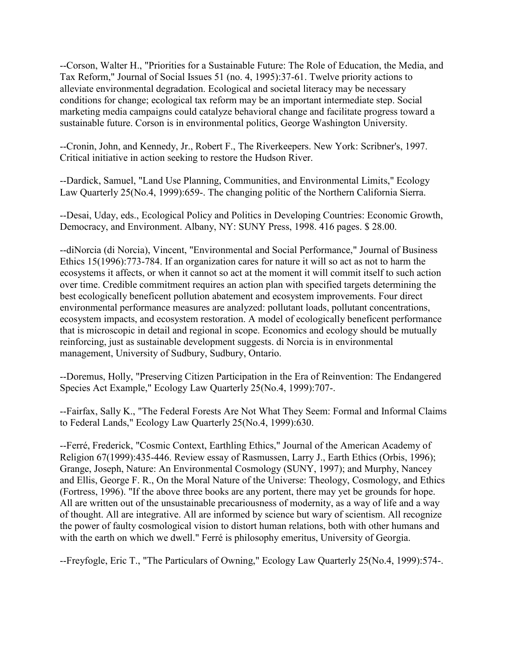--Corson, Walter H., "Priorities for a Sustainable Future: The Role of Education, the Media, and Tax Reform," Journal of Social Issues 51 (no. 4, 1995):37-61. Twelve priority actions to alleviate environmental degradation. Ecological and societal literacy may be necessary conditions for change; ecological tax reform may be an important intermediate step. Social marketing media campaigns could catalyze behavioral change and facilitate progress toward a sustainable future. Corson is in environmental politics, George Washington University.

--Cronin, John, and Kennedy, Jr., Robert F., The Riverkeepers. New York: Scribner's, 1997. Critical initiative in action seeking to restore the Hudson River.

--Dardick, Samuel, "Land Use Planning, Communities, and Environmental Limits," Ecology Law Quarterly 25(No.4, 1999):659-. The changing politic of the Northern California Sierra.

--Desai, Uday, eds., Ecological Policy and Politics in Developing Countries: Economic Growth, Democracy, and Environment. Albany, NY: SUNY Press, 1998. 416 pages. \$ 28.00.

--diNorcia (di Norcia), Vincent, "Environmental and Social Performance," Journal of Business Ethics 15(1996):773-784. If an organization cares for nature it will so act as not to harm the ecosystems it affects, or when it cannot so act at the moment it will commit itself to such action over time. Credible commitment requires an action plan with specified targets determining the best ecologically beneficent pollution abatement and ecosystem improvements. Four direct environmental performance measures are analyzed: pollutant loads, pollutant concentrations, ecosystem impacts, and ecosystem restoration. A model of ecologically beneficent performance that is microscopic in detail and regional in scope. Economics and ecology should be mutually reinforcing, just as sustainable development suggests. di Norcia is in environmental management, University of Sudbury, Sudbury, Ontario.

--Doremus, Holly, "Preserving Citizen Participation in the Era of Reinvention: The Endangered Species Act Example," Ecology Law Quarterly 25(No.4, 1999):707-.

--Fairfax, Sally K., "The Federal Forests Are Not What They Seem: Formal and Informal Claims to Federal Lands," Ecology Law Quarterly 25(No.4, 1999):630.

--Ferré, Frederick, "Cosmic Context, Earthling Ethics," Journal of the American Academy of Religion 67(1999):435-446. Review essay of Rasmussen, Larry J., Earth Ethics (Orbis, 1996); Grange, Joseph, Nature: An Environmental Cosmology (SUNY, 1997); and Murphy, Nancey and Ellis, George F. R., On the Moral Nature of the Universe: Theology, Cosmology, and Ethics (Fortress, 1996). "If the above three books are any portent, there may yet be grounds for hope. All are written out of the unsustainable precariousness of modernity, as a way of life and a way of thought. All are integrative. All are informed by science but wary of scientism. All recognize the power of faulty cosmological vision to distort human relations, both with other humans and with the earth on which we dwell." Ferré is philosophy emeritus, University of Georgia.

--Freyfogle, Eric T., "The Particulars of Owning," Ecology Law Quarterly 25(No.4, 1999):574-.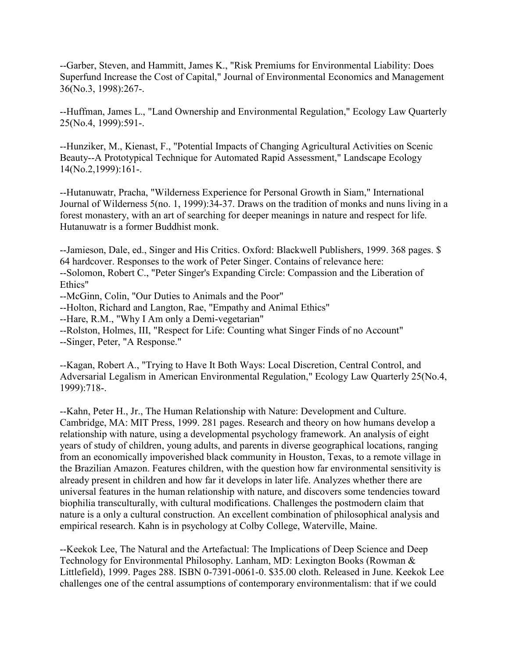--Garber, Steven, and Hammitt, James K., "Risk Premiums for Environmental Liability: Does Superfund Increase the Cost of Capital," Journal of Environmental Economics and Management 36(No.3, 1998):267-.

--Huffman, James L., "Land Ownership and Environmental Regulation," Ecology Law Quarterly 25(No.4, 1999):591-.

--Hunziker, M., Kienast, F., "Potential Impacts of Changing Agricultural Activities on Scenic Beauty--A Prototypical Technique for Automated Rapid Assessment," Landscape Ecology 14(No.2,1999):161-.

--Hutanuwatr, Pracha, "Wilderness Experience for Personal Growth in Siam," International Journal of Wilderness 5(no. 1, 1999):34-37. Draws on the tradition of monks and nuns living in a forest monastery, with an art of searching for deeper meanings in nature and respect for life. Hutanuwatr is a former Buddhist monk.

--Jamieson, Dale, ed., Singer and His Critics. Oxford: Blackwell Publishers, 1999. 368 pages. \$ 64 hardcover. Responses to the work of Peter Singer. Contains of relevance here: --Solomon, Robert C., "Peter Singer's Expanding Circle: Compassion and the Liberation of Ethics"

--McGinn, Colin, "Our Duties to Animals and the Poor"

--Holton, Richard and Langton, Rae, "Empathy and Animal Ethics"

--Hare, R.M., "Why I Am only a Demi-vegetarian"

--Rolston, Holmes, III, "Respect for Life: Counting what Singer Finds of no Account"

--Singer, Peter, "A Response."

--Kagan, Robert A., "Trying to Have It Both Ways: Local Discretion, Central Control, and Adversarial Legalism in American Environmental Regulation," Ecology Law Quarterly 25(No.4, 1999):718-.

--Kahn, Peter H., Jr., The Human Relationship with Nature: Development and Culture. Cambridge, MA: MIT Press, 1999. 281 pages. Research and theory on how humans develop a relationship with nature, using a developmental psychology framework. An analysis of eight years of study of children, young adults, and parents in diverse geographical locations, ranging from an economically impoverished black community in Houston, Texas, to a remote village in the Brazilian Amazon. Features children, with the question how far environmental sensitivity is already present in children and how far it develops in later life. Analyzes whether there are universal features in the human relationship with nature, and discovers some tendencies toward biophilia transculturally, with cultural modifications. Challenges the postmodern claim that nature is a only a cultural construction. An excellent combination of philosophical analysis and empirical research. Kahn is in psychology at Colby College, Waterville, Maine.

--Keekok Lee, The Natural and the Artefactual: The Implications of Deep Science and Deep Technology for Environmental Philosophy. Lanham, MD: Lexington Books (Rowman & Littlefield), 1999. Pages 288. ISBN 0-7391-0061-0. \$35.00 cloth. Released in June. Keekok Lee challenges one of the central assumptions of contemporary environmentalism: that if we could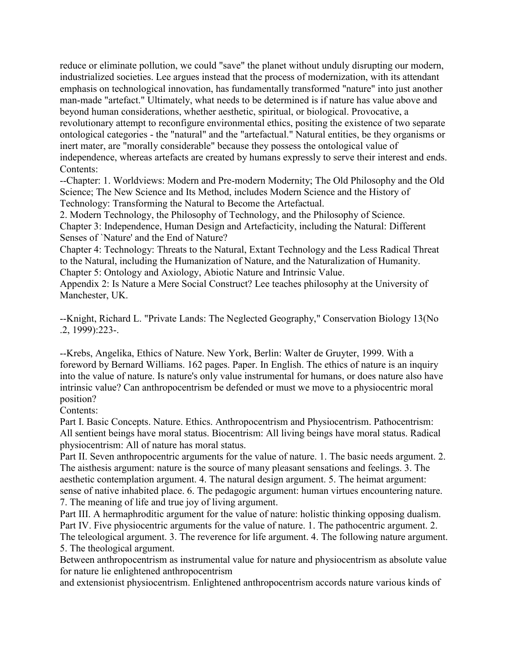reduce or eliminate pollution, we could "save" the planet without unduly disrupting our modern, industrialized societies. Lee argues instead that the process of modernization, with its attendant emphasis on technological innovation, has fundamentally transformed "nature" into just another man-made "artefact." Ultimately, what needs to be determined is if nature has value above and beyond human considerations, whether aesthetic, spiritual, or biological. Provocative, a revolutionary attempt to reconfigure environmental ethics, positing the existence of two separate ontological categories - the "natural" and the "artefactual." Natural entities, be they organisms or inert mater, are "morally considerable" because they possess the ontological value of independence, whereas artefacts are created by humans expressly to serve their interest and ends. Contents:

--Chapter: 1. Worldviews: Modern and Pre-modern Modernity; The Old Philosophy and the Old Science; The New Science and Its Method, includes Modern Science and the History of Technology: Transforming the Natural to Become the Artefactual.

2. Modern Technology, the Philosophy of Technology, and the Philosophy of Science. Chapter 3: Independence, Human Design and Artefacticity, including the Natural: Different Senses of `Nature' and the End of Nature?

Chapter 4: Technology: Threats to the Natural, Extant Technology and the Less Radical Threat to the Natural, including the Humanization of Nature, and the Naturalization of Humanity. Chapter 5: Ontology and Axiology, Abiotic Nature and Intrinsic Value.

Appendix 2: Is Nature a Mere Social Construct? Lee teaches philosophy at the University of Manchester, UK.

--Knight, Richard L. "Private Lands: The Neglected Geography," Conservation Biology 13(No .2, 1999):223-.

--Krebs, Angelika, Ethics of Nature. New York, Berlin: Walter de Gruyter, 1999. With a foreword by Bernard Williams. 162 pages. Paper. In English. The ethics of nature is an inquiry into the value of nature. Is nature's only value instrumental for humans, or does nature also have intrinsic value? Can anthropocentrism be defended or must we move to a physiocentric moral position?

Contents:

Part I. Basic Concepts. Nature. Ethics. Anthropocentrism and Physiocentrism. Pathocentrism: All sentient beings have moral status. Biocentrism: All living beings have moral status. Radical physiocentrism: All of nature has moral status.

Part II. Seven anthropocentric arguments for the value of nature. 1. The basic needs argument. 2. The aisthesis argument: nature is the source of many pleasant sensations and feelings. 3. The aesthetic contemplation argument. 4. The natural design argument. 5. The heimat argument: sense of native inhabited place. 6. The pedagogic argument: human virtues encountering nature. 7. The meaning of life and true joy of living argument.

Part III. A hermaphroditic argument for the value of nature: holistic thinking opposing dualism. Part IV. Five physiocentric arguments for the value of nature. 1. The pathocentric argument. 2. The teleological argument. 3. The reverence for life argument. 4. The following nature argument. 5. The theological argument.

Between anthropocentrism as instrumental value for nature and physiocentrism as absolute value for nature lie enlightened anthropocentrism

and extensionist physiocentrism. Enlightened anthropocentrism accords nature various kinds of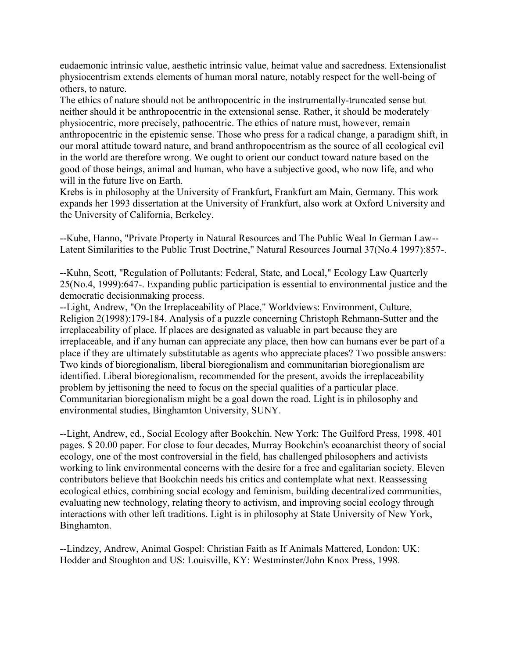eudaemonic intrinsic value, aesthetic intrinsic value, heimat value and sacredness. Extensionalist physiocentrism extends elements of human moral nature, notably respect for the well-being of others, to nature.

The ethics of nature should not be anthropocentric in the instrumentally-truncated sense but neither should it be anthropocentric in the extensional sense. Rather, it should be moderately physiocentric, more precisely, pathocentric. The ethics of nature must, however, remain anthropocentric in the epistemic sense. Those who press for a radical change, a paradigm shift, in our moral attitude toward nature, and brand anthropocentrism as the source of all ecological evil in the world are therefore wrong. We ought to orient our conduct toward nature based on the good of those beings, animal and human, who have a subjective good, who now life, and who will in the future live on Earth.

Krebs is in philosophy at the University of Frankfurt, Frankfurt am Main, Germany. This work expands her 1993 dissertation at the University of Frankfurt, also work at Oxford University and the University of California, Berkeley.

--Kube, Hanno, "Private Property in Natural Resources and The Public Weal In German Law-- Latent Similarities to the Public Trust Doctrine," Natural Resources Journal 37(No.4 1997):857-.

--Kuhn, Scott, "Regulation of Pollutants: Federal, State, and Local," Ecology Law Quarterly 25(No.4, 1999):647-. Expanding public participation is essential to environmental justice and the democratic decisionmaking process.

--Light, Andrew, "On the Irreplaceability of Place," Worldviews: Environment, Culture, Religion 2(1998):179-184. Analysis of a puzzle concerning Christoph Rehmann-Sutter and the irreplaceability of place. If places are designated as valuable in part because they are irreplaceable, and if any human can appreciate any place, then how can humans ever be part of a place if they are ultimately substitutable as agents who appreciate places? Two possible answers: Two kinds of bioregionalism, liberal bioregionalism and communitarian bioregionalism are identified. Liberal bioregionalism, recommended for the present, avoids the irreplaceability problem by jettisoning the need to focus on the special qualities of a particular place. Communitarian bioregionalism might be a goal down the road. Light is in philosophy and environmental studies, Binghamton University, SUNY.

--Light, Andrew, ed., Social Ecology after Bookchin. New York: The Guilford Press, 1998. 401 pages. \$ 20.00 paper. For close to four decades, Murray Bookchin's ecoanarchist theory of social ecology, one of the most controversial in the field, has challenged philosophers and activists working to link environmental concerns with the desire for a free and egalitarian society. Eleven contributors believe that Bookchin needs his critics and contemplate what next. Reassessing ecological ethics, combining social ecology and feminism, building decentralized communities, evaluating new technology, relating theory to activism, and improving social ecology through interactions with other left traditions. Light is in philosophy at State University of New York, Binghamton.

--Lindzey, Andrew, Animal Gospel: Christian Faith as If Animals Mattered, London: UK: Hodder and Stoughton and US: Louisville, KY: Westminster/John Knox Press, 1998.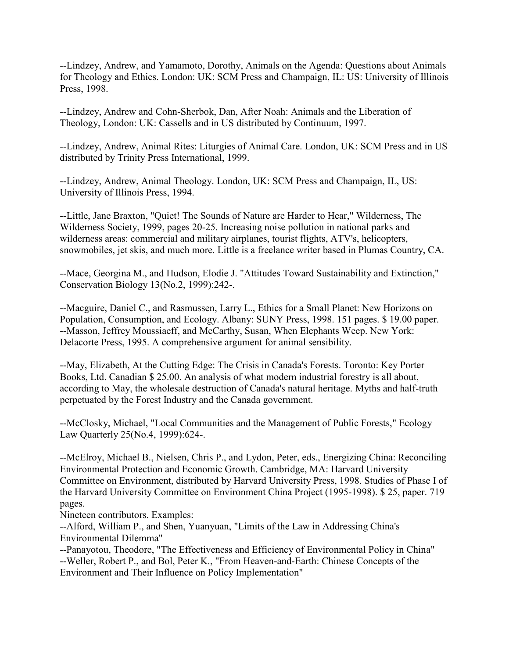--Lindzey, Andrew, and Yamamoto, Dorothy, Animals on the Agenda: Questions about Animals for Theology and Ethics. London: UK: SCM Press and Champaign, IL: US: University of Illinois Press, 1998.

--Lindzey, Andrew and Cohn-Sherbok, Dan, After Noah: Animals and the Liberation of Theology, London: UK: Cassells and in US distributed by Continuum, 1997.

--Lindzey, Andrew, Animal Rites: Liturgies of Animal Care. London, UK: SCM Press and in US distributed by Trinity Press International, 1999.

--Lindzey, Andrew, Animal Theology. London, UK: SCM Press and Champaign, IL, US: University of Illinois Press, 1994.

--Little, Jane Braxton, "Quiet! The Sounds of Nature are Harder to Hear," Wilderness, The Wilderness Society, 1999, pages 20-25. Increasing noise pollution in national parks and wilderness areas: commercial and military airplanes, tourist flights, ATV's, helicopters, snowmobiles, jet skis, and much more. Little is a freelance writer based in Plumas Country, CA.

--Mace, Georgina M., and Hudson, Elodie J. "Attitudes Toward Sustainability and Extinction," Conservation Biology 13(No.2, 1999):242-.

--Macguire, Daniel C., and Rasmussen, Larry L., Ethics for a Small Planet: New Horizons on Population, Consumption, and Ecology. Albany: SUNY Press, 1998. 151 pages. \$ 19.00 paper. --Masson, Jeffrey Moussiaeff, and McCarthy, Susan, When Elephants Weep. New York: Delacorte Press, 1995. A comprehensive argument for animal sensibility.

--May, Elizabeth, At the Cutting Edge: The Crisis in Canada's Forests. Toronto: Key Porter Books, Ltd. Canadian \$ 25.00. An analysis of what modern industrial forestry is all about, according to May, the wholesale destruction of Canada's natural heritage. Myths and half-truth perpetuated by the Forest Industry and the Canada government.

--McClosky, Michael, "Local Communities and the Management of Public Forests," Ecology Law Quarterly 25(No.4, 1999):624-.

--McElroy, Michael B., Nielsen, Chris P., and Lydon, Peter, eds., Energizing China: Reconciling Environmental Protection and Economic Growth. Cambridge, MA: Harvard University Committee on Environment, distributed by Harvard University Press, 1998. Studies of Phase I of the Harvard University Committee on Environment China Project (1995-1998). \$ 25, paper. 719 pages.

Nineteen contributors. Examples:

--Alford, William P., and Shen, Yuanyuan, "Limits of the Law in Addressing China's Environmental Dilemma"

--Panayotou, Theodore, "The Effectiveness and Efficiency of Environmental Policy in China" --Weller, Robert P., and Bol, Peter K., "From Heaven-and-Earth: Chinese Concepts of the Environment and Their Influence on Policy Implementation"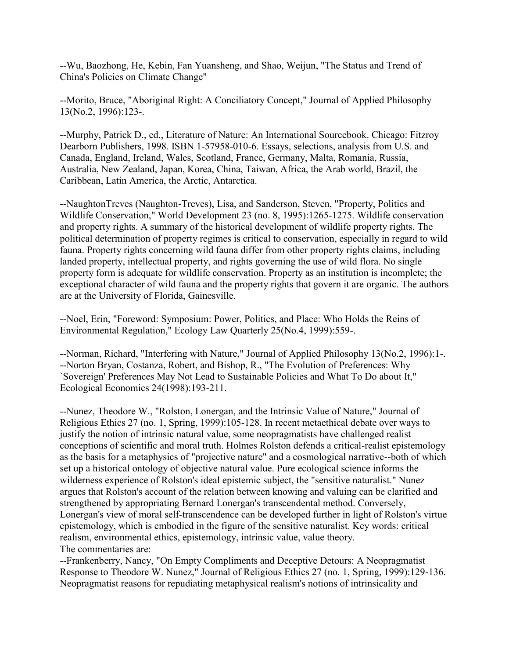--Wu, Baozhong, He, Kebin, Fan Yuansheng, and Shao, Weijun, "The Status and Trend of China's Policies on Climate Change"

--Morito, Bruce, "Aboriginal Right: A Conciliatory Concept," Journal of Applied Philosophy 13(No.2, 1996):123-.

--Murphy, Patrick D., ed., Literature of Nature: An International Sourcebook. Chicago: Fitzroy Dearborn Publishers, 1998. ISBN 1-57958-010-6. Essays, selections, analysis from U.S. and Canada, England, Ireland, Wales, Scotland, France, Germany, Malta, Romania, Russia, Australia, New Zealand, Japan, Korea, China, Taiwan, Africa, the Arab world, Brazil, the Caribbean, Latin America, the Arctic, Antarctica.

--NaughtonTreves (Naughton-Treves), Lisa, and Sanderson, Steven, "Property, Politics and Wildlife Conservation," World Development 23 (no. 8, 1995):1265-1275. Wildlife conservation and property rights. A summary of the historical development of wildlife property rights. The political determination of property regimes is critical to conservation, especially in regard to wild fauna. Property rights concerning wild fauna differ from other property rights claims, including landed property, intellectual property, and rights governing the use of wild flora. No single property form is adequate for wildlife conservation. Property as an institution is incomplete; the exceptional character of wild fauna and the property rights that govern it are organic. The authors are at the University of Florida, Gainesville.

--Noel, Erin, "Foreword: Symposium: Power, Politics, and Place: Who Holds the Reins of Environmental Regulation," Ecology Law Quarterly 25(No.4, 1999):559-.

--Norman, Richard, "Interfering with Nature," Journal of Applied Philosophy 13(No.2, 1996):1-. --Norton Bryan, Costanza, Robert, and Bishop, R., "The Evolution of Preferences: Why `Sovereign' Preferences May Not Lead to Sustainable Policies and What To Do about It," Ecological Economics 24(1998):193-211.

--Nunez, Theodore W., "Rolston, Lonergan, and the Intrinsic Value of Nature," Journal of Religious Ethics 27 (no. 1, Spring, 1999):105-128. In recent metaethical debate over ways to justify the notion of intrinsic natural value, some neopragmatists have challenged realist conceptions of scientific and moral truth. Holmes Rolston defends a critical-realist epistemology as the basis for a metaphysics of "projective nature" and a cosmological narrative--both of which set up a historical ontology of objective natural value. Pure ecological science informs the wilderness experience of Rolston's ideal epistemic subject, the "sensitive naturalist." Nunez argues that Rolston's account of the relation between knowing and valuing can be clarified and strengthened by appropriating Bernard Lonergan's transcendental method. Conversely, Lonergan's view of moral self-transcendence can be developed further in light of Rolston's virtue epistemology, which is embodied in the figure of the sensitive naturalist. Key words: critical realism, environmental ethics, epistemology, intrinsic value, value theory. The commentaries are:

--Frankenberry, Nancy, "On Empty Compliments and Deceptive Detours: A Neopragmatist Response to Theodore W. Nunez," Journal of Religious Ethics 27 (no. 1, Spring, 1999):129-136. Neopragmatist reasons for repudiating metaphysical realism's notions of intrinsicality and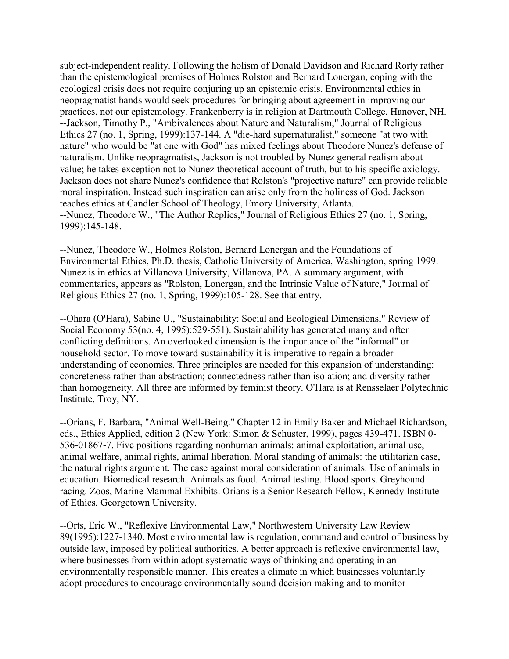subject-independent reality. Following the holism of Donald Davidson and Richard Rorty rather than the epistemological premises of Holmes Rolston and Bernard Lonergan, coping with the ecological crisis does not require conjuring up an epistemic crisis. Environmental ethics in neopragmatist hands would seek procedures for bringing about agreement in improving our practices, not our epistemology. Frankenberry is in religion at Dartmouth College, Hanover, NH. --Jackson, Timothy P., "Ambivalences about Nature and Naturalism," Journal of Religious Ethics 27 (no. 1, Spring, 1999):137-144. A "die-hard supernaturalist," someone "at two with nature" who would be "at one with God" has mixed feelings about Theodore Nunez's defense of naturalism. Unlike neopragmatists, Jackson is not troubled by Nunez general realism about value; he takes exception not to Nunez theoretical account of truth, but to his specific axiology. Jackson does not share Nunez's confidence that Rolston's "projective nature" can provide reliable moral inspiration. Instead such inspiration can arise only from the holiness of God. Jackson teaches ethics at Candler School of Theology, Emory University, Atlanta. --Nunez, Theodore W., "The Author Replies," Journal of Religious Ethics 27 (no. 1, Spring, 1999):145-148.

--Nunez, Theodore W., Holmes Rolston, Bernard Lonergan and the Foundations of Environmental Ethics, Ph.D. thesis, Catholic University of America, Washington, spring 1999. Nunez is in ethics at Villanova University, Villanova, PA. A summary argument, with commentaries, appears as "Rolston, Lonergan, and the Intrinsic Value of Nature," Journal of Religious Ethics 27 (no. 1, Spring, 1999):105-128. See that entry.

--Ohara (O'Hara), Sabine U., "Sustainability: Social and Ecological Dimensions," Review of Social Economy 53(no. 4, 1995):529-551). Sustainability has generated many and often conflicting definitions. An overlooked dimension is the importance of the "informal" or household sector. To move toward sustainability it is imperative to regain a broader understanding of economics. Three principles are needed for this expansion of understanding: concreteness rather than abstraction; connectedness rather than isolation; and diversity rather than homogeneity. All three are informed by feminist theory. O'Hara is at Rensselaer Polytechnic Institute, Troy, NY.

--Orians, F. Barbara, "Animal Well-Being." Chapter 12 in Emily Baker and Michael Richardson, eds., Ethics Applied, edition 2 (New York: Simon & Schuster, 1999), pages 439-471. ISBN 0- 536-01867-7. Five positions regarding nonhuman animals: animal exploitation, animal use, animal welfare, animal rights, animal liberation. Moral standing of animals: the utilitarian case, the natural rights argument. The case against moral consideration of animals. Use of animals in education. Biomedical research. Animals as food. Animal testing. Blood sports. Greyhound racing. Zoos, Marine Mammal Exhibits. Orians is a Senior Research Fellow, Kennedy Institute of Ethics, Georgetown University.

--Orts, Eric W., "Reflexive Environmental Law," Northwestern University Law Review 89(1995):1227-1340. Most environmental law is regulation, command and control of business by outside law, imposed by political authorities. A better approach is reflexive environmental law, where businesses from within adopt systematic ways of thinking and operating in an environmentally responsible manner. This creates a climate in which businesses voluntarily adopt procedures to encourage environmentally sound decision making and to monitor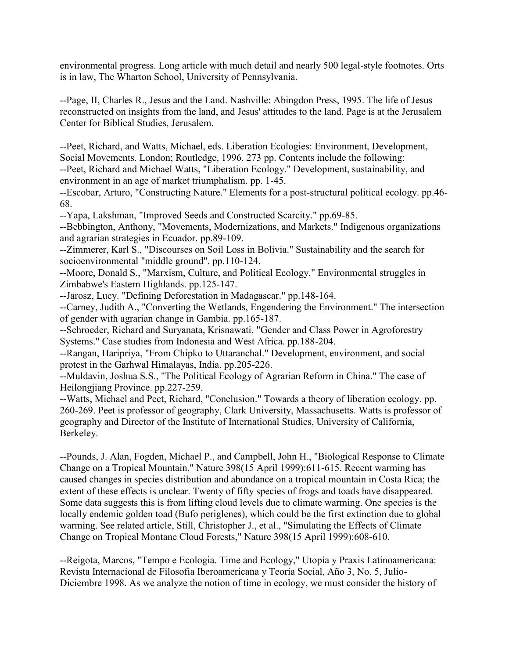environmental progress. Long article with much detail and nearly 500 legal-style footnotes. Orts is in law, The Wharton School, University of Pennsylvania.

--Page, II, Charles R., Jesus and the Land. Nashville: Abingdon Press, 1995. The life of Jesus reconstructed on insights from the land, and Jesus' attitudes to the land. Page is at the Jerusalem Center for Biblical Studies, Jerusalem.

--Peet, Richard, and Watts, Michael, eds. Liberation Ecologies: Environment, Development, Social Movements. London; Routledge, 1996. 273 pp. Contents include the following: --Peet, Richard and Michael Watts, "Liberation Ecology." Development, sustainability, and environment in an age of market triumphalism. pp. 1-45.

--Escobar, Arturo, "Constructing Nature." Elements for a post-structural political ecology. pp.46- 68.

--Yapa, Lakshman, "Improved Seeds and Constructed Scarcity." pp.69-85.

--Bebbington, Anthony, "Movements, Modernizations, and Markets." Indigenous organizations and agrarian strategies in Ecuador. pp.89-109.

--Zimmerer, Karl S., "Discourses on Soil Loss in Bolivia." Sustainability and the search for socioenvironmental "middle ground". pp.110-124.

--Moore, Donald S., "Marxism, Culture, and Political Ecology." Environmental struggles in Zimbabwe's Eastern Highlands. pp.125-147.

--Jarosz, Lucy. "Defining Deforestation in Madagascar." pp.148-164.

--Carney, Judith A., "Converting the Wetlands, Engendering the Environment." The intersection of gender with agrarian change in Gambia. pp.165-187.

--Schroeder, Richard and Suryanata, Krisnawati, "Gender and Class Power in Agroforestry Systems." Case studies from Indonesia and West Africa. pp.188-204.

--Rangan, Haripriya, "From Chipko to Uttaranchal." Development, environment, and social protest in the Garhwal Himalayas, India. pp.205-226.

--Muldavin, Joshua S.S., "The Political Ecology of Agrarian Reform in China." The case of Heilongjiang Province. pp.227-259.

--Watts, Michael and Peet, Richard, "Conclusion." Towards a theory of liberation ecology. pp. 260-269. Peet is professor of geography, Clark University, Massachusetts. Watts is professor of geography and Director of the Institute of International Studies, University of California, Berkeley.

--Pounds, J. Alan, Fogden, Michael P., and Campbell, John H., "Biological Response to Climate Change on a Tropical Mountain," Nature 398(15 April 1999):611-615. Recent warming has caused changes in species distribution and abundance on a tropical mountain in Costa Rica; the extent of these effects is unclear. Twenty of fifty species of frogs and toads have disappeared. Some data suggests this is from lifting cloud levels due to climate warming. One species is the locally endemic golden toad (Bufo periglenes), which could be the first extinction due to global warming. See related article, Still, Christopher J., et al., "Simulating the Effects of Climate Change on Tropical Montane Cloud Forests," Nature 398(15 April 1999):608-610.

--Reigota, Marcos, "Tempo e Ecologia. Time and Ecology," Utopía y Praxis Latinoamericana: Revista Internacional de Filosofia Iberoamericana y Teoría Social, Año 3, No. 5, Julio-Diciembre 1998. As we analyze the notion of time in ecology, we must consider the history of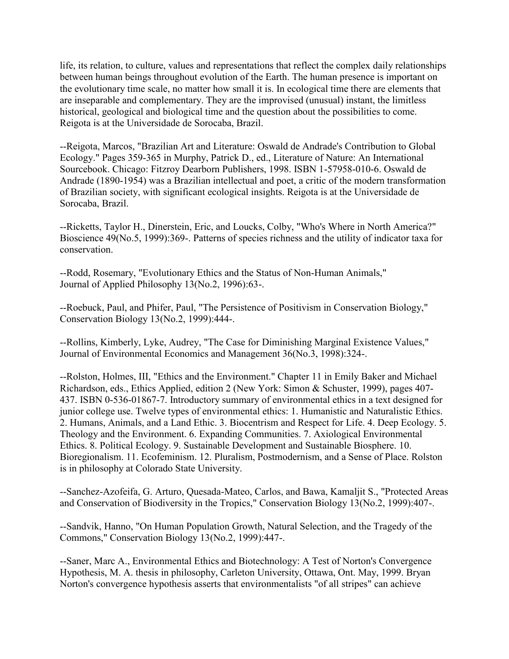life, its relation, to culture, values and representations that reflect the complex daily relationships between human beings throughout evolution of the Earth. The human presence is important on the evolutionary time scale, no matter how small it is. In ecological time there are elements that are inseparable and complementary. They are the improvised (unusual) instant, the limitless historical, geological and biological time and the question about the possibilities to come. Reigota is at the Universidade de Sorocaba, Brazil.

--Reigota, Marcos, "Brazilian Art and Literature: Oswald de Andrade's Contribution to Global Ecology." Pages 359-365 in Murphy, Patrick D., ed., Literature of Nature: An International Sourcebook. Chicago: Fitzroy Dearborn Publishers, 1998. ISBN 1-57958-010-6. Oswald de Andrade (1890-1954) was a Brazilian intellectual and poet, a critic of the modern transformation of Brazilian society, with significant ecological insights. Reigota is at the Universidade de Sorocaba, Brazil.

--Ricketts, Taylor H., Dinerstein, Eric, and Loucks, Colby, "Who's Where in North America?" Bioscience 49(No.5, 1999):369-. Patterns of species richness and the utility of indicator taxa for conservation.

--Rodd, Rosemary, "Evolutionary Ethics and the Status of Non-Human Animals," Journal of Applied Philosophy 13(No.2, 1996):63-.

--Roebuck, Paul, and Phifer, Paul, "The Persistence of Positivism in Conservation Biology," Conservation Biology 13(No.2, 1999):444-.

--Rollins, Kimberly, Lyke, Audrey, "The Case for Diminishing Marginal Existence Values," Journal of Environmental Economics and Management 36(No.3, 1998):324-.

--Rolston, Holmes, III, "Ethics and the Environment." Chapter 11 in Emily Baker and Michael Richardson, eds., Ethics Applied, edition 2 (New York: Simon & Schuster, 1999), pages 407- 437. ISBN 0-536-01867-7. Introductory summary of environmental ethics in a text designed for junior college use. Twelve types of environmental ethics: 1. Humanistic and Naturalistic Ethics. 2. Humans, Animals, and a Land Ethic. 3. Biocentrism and Respect for Life. 4. Deep Ecology. 5. Theology and the Environment. 6. Expanding Communities. 7. Axiological Environmental Ethics. 8. Political Ecology. 9. Sustainable Development and Sustainable Biosphere. 10. Bioregionalism. 11. Ecofeminism. 12. Pluralism, Postmodernism, and a Sense of Place. Rolston is in philosophy at Colorado State University.

--Sanchez-Azofeifa, G. Arturo, Quesada-Mateo, Carlos, and Bawa, Kamaljit S., "Protected Areas and Conservation of Biodiversity in the Tropics," Conservation Biology 13(No.2, 1999):407-.

--Sandvik, Hanno, "On Human Population Growth, Natural Selection, and the Tragedy of the Commons," Conservation Biology 13(No.2, 1999):447-.

--Saner, Marc A., Environmental Ethics and Biotechnology: A Test of Norton's Convergence Hypothesis, M. A. thesis in philosophy, Carleton University, Ottawa, Ont. May, 1999. Bryan Norton's convergence hypothesis asserts that environmentalists "of all stripes" can achieve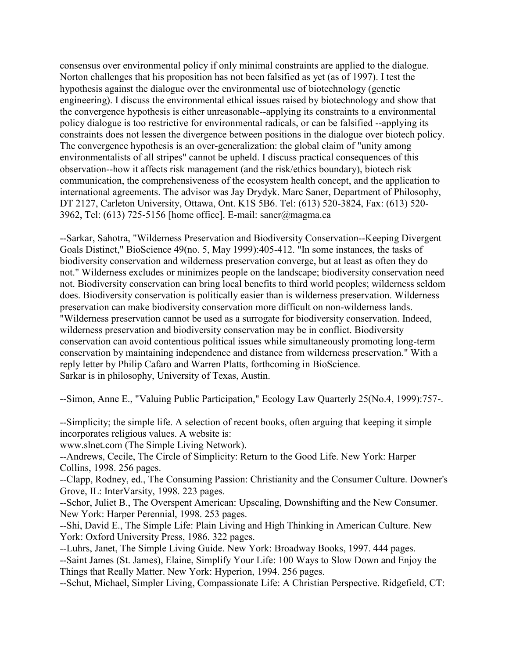consensus over environmental policy if only minimal constraints are applied to the dialogue. Norton challenges that his proposition has not been falsified as yet (as of 1997). I test the hypothesis against the dialogue over the environmental use of biotechnology (genetic engineering). I discuss the environmental ethical issues raised by biotechnology and show that the convergence hypothesis is either unreasonable--applying its constraints to a environmental policy dialogue is too restrictive for environmental radicals, or can be falsified --applying its constraints does not lessen the divergence between positions in the dialogue over biotech policy. The convergence hypothesis is an over-generalization: the global claim of "unity among environmentalists of all stripes" cannot be upheld. I discuss practical consequences of this observation--how it affects risk management (and the risk/ethics boundary), biotech risk communication, the comprehensiveness of the ecosystem health concept, and the application to international agreements. The advisor was Jay Drydyk. Marc Saner, Department of Philosophy, DT 2127, Carleton University, Ottawa, Ont. K1S 5B6. Tel: (613) 520-3824, Fax: (613) 520- 3962, Tel: (613) 725-5156 [home office]. E-mail: saner@magma.ca

--Sarkar, Sahotra, "Wilderness Preservation and Biodiversity Conservation--Keeping Divergent Goals Distinct," BioScience 49(no. 5, May 1999):405-412. "In some instances, the tasks of biodiversity conservation and wilderness preservation converge, but at least as often they do not." Wilderness excludes or minimizes people on the landscape; biodiversity conservation need not. Biodiversity conservation can bring local benefits to third world peoples; wilderness seldom does. Biodiversity conservation is politically easier than is wilderness preservation. Wilderness preservation can make biodiversity conservation more difficult on non-wilderness lands. "Wilderness preservation cannot be used as a surrogate for biodiversity conservation. Indeed, wilderness preservation and biodiversity conservation may be in conflict. Biodiversity conservation can avoid contentious political issues while simultaneously promoting long-term conservation by maintaining independence and distance from wilderness preservation." With a reply letter by Philip Cafaro and Warren Platts, forthcoming in BioScience. Sarkar is in philosophy, University of Texas, Austin.

--Simon, Anne E., "Valuing Public Participation," Ecology Law Quarterly 25(No.4, 1999):757-.

--Simplicity; the simple life. A selection of recent books, often arguing that keeping it simple incorporates religious values. A website is:

www.slnet.com (The Simple Living Network).

--Andrews, Cecile, The Circle of Simplicity: Return to the Good Life. New York: Harper Collins, 1998. 256 pages.

--Clapp, Rodney, ed., The Consuming Passion: Christianity and the Consumer Culture. Downer's Grove, IL: InterVarsity, 1998. 223 pages.

--Schor, Juliet B., The Overspent American: Upscaling, Downshifting and the New Consumer. New York: Harper Perennial, 1998. 253 pages.

--Shi, David E., The Simple Life: Plain Living and High Thinking in American Culture. New York: Oxford University Press, 1986. 322 pages.

--Luhrs, Janet, The Simple Living Guide. New York: Broadway Books, 1997. 444 pages. --Saint James (St. James), Elaine, Simplify Your Life: 100 Ways to Slow Down and Enjoy the Things that Really Matter. New York: Hyperion, 1994. 256 pages.

--Schut, Michael, Simpler Living, Compassionate Life: A Christian Perspective. Ridgefield, CT: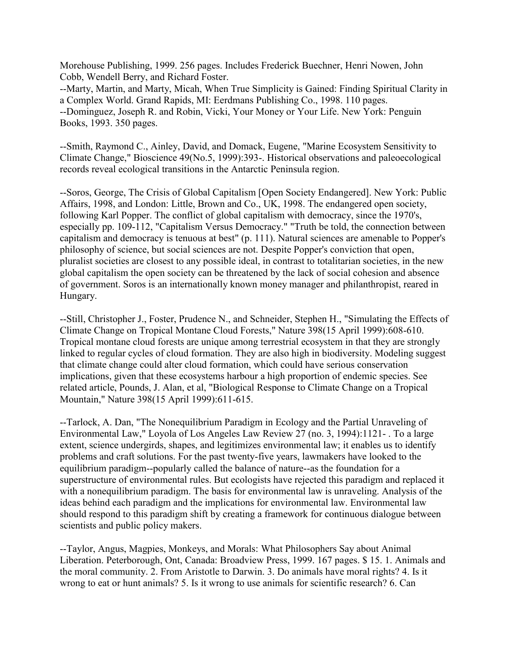Morehouse Publishing, 1999. 256 pages. Includes Frederick Buechner, Henri Nowen, John Cobb, Wendell Berry, and Richard Foster.

--Marty, Martin, and Marty, Micah, When True Simplicity is Gained: Finding Spiritual Clarity in a Complex World. Grand Rapids, MI: Eerdmans Publishing Co., 1998. 110 pages. --Dominguez, Joseph R. and Robin, Vicki, Your Money or Your Life. New York: Penguin Books, 1993. 350 pages.

--Smith, Raymond C., Ainley, David, and Domack, Eugene, "Marine Ecosystem Sensitivity to Climate Change," Bioscience 49(No.5, 1999):393-. Historical observations and paleoecological records reveal ecological transitions in the Antarctic Peninsula region.

--Soros, George, The Crisis of Global Capitalism [Open Society Endangered]. New York: Public Affairs, 1998, and London: Little, Brown and Co., UK, 1998. The endangered open society, following Karl Popper. The conflict of global capitalism with democracy, since the 1970's, especially pp. 109-112, "Capitalism Versus Democracy." "Truth be told, the connection between capitalism and democracy is tenuous at best" (p. 111). Natural sciences are amenable to Popper's philosophy of science, but social sciences are not. Despite Popper's conviction that open, pluralist societies are closest to any possible ideal, in contrast to totalitarian societies, in the new global capitalism the open society can be threatened by the lack of social cohesion and absence of government. Soros is an internationally known money manager and philanthropist, reared in Hungary.

--Still, Christopher J., Foster, Prudence N., and Schneider, Stephen H., "Simulating the Effects of Climate Change on Tropical Montane Cloud Forests," Nature 398(15 April 1999):608-610. Tropical montane cloud forests are unique among terrestrial ecosystem in that they are strongly linked to regular cycles of cloud formation. They are also high in biodiversity. Modeling suggest that climate change could alter cloud formation, which could have serious conservation implications, given that these ecosystems harbour a high proportion of endemic species. See related article, Pounds, J. Alan, et al, "Biological Response to Climate Change on a Tropical Mountain," Nature 398(15 April 1999):611-615.

--Tarlock, A. Dan, "The Nonequilibrium Paradigm in Ecology and the Partial Unraveling of Environmental Law," Loyola of Los Angeles Law Review 27 (no. 3, 1994):1121- . To a large extent, science undergirds, shapes, and legitimizes environmental law; it enables us to identify problems and craft solutions. For the past twenty-five years, lawmakers have looked to the equilibrium paradigm--popularly called the balance of nature--as the foundation for a superstructure of environmental rules. But ecologists have rejected this paradigm and replaced it with a nonequilibrium paradigm. The basis for environmental law is unraveling. Analysis of the ideas behind each paradigm and the implications for environmental law. Environmental law should respond to this paradigm shift by creating a framework for continuous dialogue between scientists and public policy makers.

--Taylor, Angus, Magpies, Monkeys, and Morals: What Philosophers Say about Animal Liberation. Peterborough, Ont, Canada: Broadview Press, 1999. 167 pages. \$ 15. 1. Animals and the moral community. 2. From Aristotle to Darwin. 3. Do animals have moral rights? 4. Is it wrong to eat or hunt animals? 5. Is it wrong to use animals for scientific research? 6. Can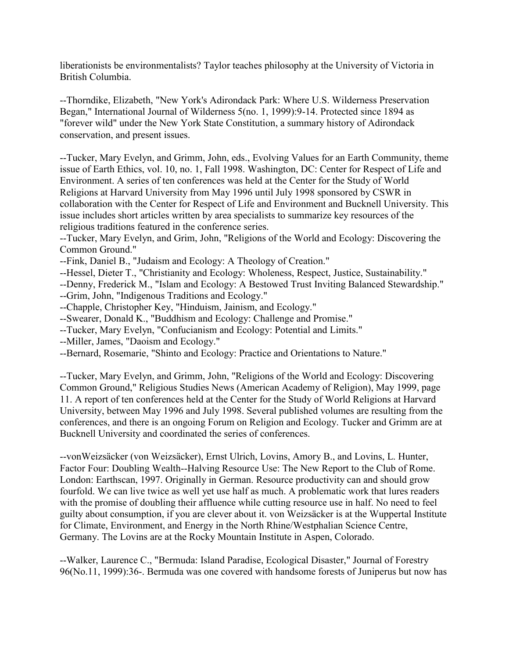liberationists be environmentalists? Taylor teaches philosophy at the University of Victoria in British Columbia.

--Thorndike, Elizabeth, "New York's Adirondack Park: Where U.S. Wilderness Preservation Began," International Journal of Wilderness 5(no. 1, 1999):9-14. Protected since 1894 as "forever wild" under the New York State Constitution, a summary history of Adirondack conservation, and present issues.

--Tucker, Mary Evelyn, and Grimm, John, eds., Evolving Values for an Earth Community, theme issue of Earth Ethics, vol. 10, no. 1, Fall 1998. Washington, DC: Center for Respect of Life and Environment. A series of ten conferences was held at the Center for the Study of World Religions at Harvard University from May 1996 until July 1998 sponsored by CSWR in collaboration with the Center for Respect of Life and Environment and Bucknell University. This issue includes short articles written by area specialists to summarize key resources of the religious traditions featured in the conference series.

--Tucker, Mary Evelyn, and Grim, John, "Religions of the World and Ecology: Discovering the Common Ground."

- --Fink, Daniel B., "Judaism and Ecology: A Theology of Creation."
- --Hessel, Dieter T., "Christianity and Ecology: Wholeness, Respect, Justice, Sustainability."
- --Denny, Frederick M., "Islam and Ecology: A Bestowed Trust Inviting Balanced Stewardship."
- --Grim, John, "Indigenous Traditions and Ecology."
- --Chapple, Christopher Key, "Hinduism, Jainism, and Ecology."
- --Swearer, Donald K., "Buddhism and Ecology: Challenge and Promise."
- --Tucker, Mary Evelyn, "Confucianism and Ecology: Potential and Limits."
- --Miller, James, "Daoism and Ecology."
- --Bernard, Rosemarie, "Shinto and Ecology: Practice and Orientations to Nature."

--Tucker, Mary Evelyn, and Grimm, John, "Religions of the World and Ecology: Discovering Common Ground," Religious Studies News (American Academy of Religion), May 1999, page 11. A report of ten conferences held at the Center for the Study of World Religions at Harvard University, between May 1996 and July 1998. Several published volumes are resulting from the conferences, and there is an ongoing Forum on Religion and Ecology. Tucker and Grimm are at Bucknell University and coordinated the series of conferences.

--vonWeizsäcker (von Weizsäcker), Ernst Ulrich, Lovins, Amory B., and Lovins, L. Hunter, Factor Four: Doubling Wealth--Halving Resource Use: The New Report to the Club of Rome. London: Earthscan, 1997. Originally in German. Resource productivity can and should grow fourfold. We can live twice as well yet use half as much. A problematic work that lures readers with the promise of doubling their affluence while cutting resource use in half. No need to feel guilty about consumption, if you are clever about it. von Weizsäcker is at the Wuppertal Institute for Climate, Environment, and Energy in the North Rhine/Westphalian Science Centre, Germany. The Lovins are at the Rocky Mountain Institute in Aspen, Colorado.

--Walker, Laurence C., "Bermuda: Island Paradise, Ecological Disaster," Journal of Forestry 96(No.11, 1999):36-. Bermuda was one covered with handsome forests of Juniperus but now has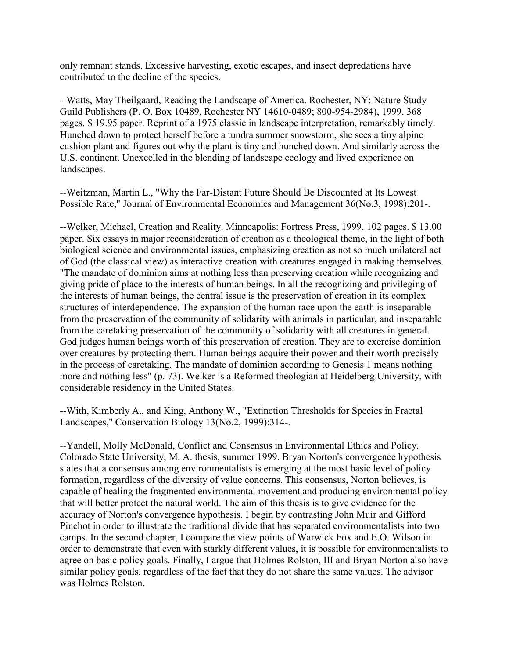only remnant stands. Excessive harvesting, exotic escapes, and insect depredations have contributed to the decline of the species.

--Watts, May Theilgaard, Reading the Landscape of America. Rochester, NY: Nature Study Guild Publishers (P. O. Box 10489, Rochester NY 14610-0489; 800-954-2984), 1999. 368 pages. \$ 19.95 paper. Reprint of a 1975 classic in landscape interpretation, remarkably timely. Hunched down to protect herself before a tundra summer snowstorm, she sees a tiny alpine cushion plant and figures out why the plant is tiny and hunched down. And similarly across the U.S. continent. Unexcelled in the blending of landscape ecology and lived experience on landscapes.

--Weitzman, Martin L., "Why the Far-Distant Future Should Be Discounted at Its Lowest Possible Rate," Journal of Environmental Economics and Management 36(No.3, 1998):201-.

--Welker, Michael, Creation and Reality. Minneapolis: Fortress Press, 1999. 102 pages. \$ 13.00 paper. Six essays in major reconsideration of creation as a theological theme, in the light of both biological science and environmental issues, emphasizing creation as not so much unilateral act of God (the classical view) as interactive creation with creatures engaged in making themselves. "The mandate of dominion aims at nothing less than preserving creation while recognizing and giving pride of place to the interests of human beings. In all the recognizing and privileging of the interests of human beings, the central issue is the preservation of creation in its complex structures of interdependence. The expansion of the human race upon the earth is inseparable from the preservation of the community of solidarity with animals in particular, and inseparable from the caretaking preservation of the community of solidarity with all creatures in general. God judges human beings worth of this preservation of creation. They are to exercise dominion over creatures by protecting them. Human beings acquire their power and their worth precisely in the process of caretaking. The mandate of dominion according to Genesis 1 means nothing more and nothing less" (p. 73). Welker is a Reformed theologian at Heidelberg University, with considerable residency in the United States.

--With, Kimberly A., and King, Anthony W., "Extinction Thresholds for Species in Fractal Landscapes," Conservation Biology 13(No.2, 1999):314-.

--Yandell, Molly McDonald, Conflict and Consensus in Environmental Ethics and Policy. Colorado State University, M. A. thesis, summer 1999. Bryan Norton's convergence hypothesis states that a consensus among environmentalists is emerging at the most basic level of policy formation, regardless of the diversity of value concerns. This consensus, Norton believes, is capable of healing the fragmented environmental movement and producing environmental policy that will better protect the natural world. The aim of this thesis is to give evidence for the accuracy of Norton's convergence hypothesis. I begin by contrasting John Muir and Gifford Pinchot in order to illustrate the traditional divide that has separated environmentalists into two camps. In the second chapter, I compare the view points of Warwick Fox and E.O. Wilson in order to demonstrate that even with starkly different values, it is possible for environmentalists to agree on basic policy goals. Finally, I argue that Holmes Rolston, III and Bryan Norton also have similar policy goals, regardless of the fact that they do not share the same values. The advisor was Holmes Rolston.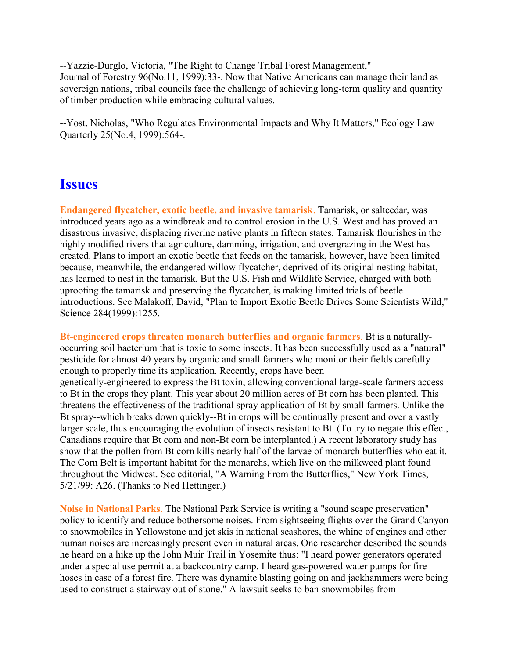--Yazzie-Durglo, Victoria, "The Right to Change Tribal Forest Management," Journal of Forestry 96(No.11, 1999):33-. Now that Native Americans can manage their land as sovereign nations, tribal councils face the challenge of achieving long-term quality and quantity of timber production while embracing cultural values.

--Yost, Nicholas, "Who Regulates Environmental Impacts and Why It Matters," Ecology Law Quarterly 25(No.4, 1999):564-.

### **Issues**

**Endangered flycatcher, exotic beetle, and invasive tamarisk**. Tamarisk, or saltcedar, was introduced years ago as a windbreak and to control erosion in the U.S. West and has proved an disastrous invasive, displacing riverine native plants in fifteen states. Tamarisk flourishes in the highly modified rivers that agriculture, damming, irrigation, and overgrazing in the West has created. Plans to import an exotic beetle that feeds on the tamarisk, however, have been limited because, meanwhile, the endangered willow flycatcher, deprived of its original nesting habitat, has learned to nest in the tamarisk. But the U.S. Fish and Wildlife Service, charged with both uprooting the tamarisk and preserving the flycatcher, is making limited trials of beetle introductions. See Malakoff, David, "Plan to Import Exotic Beetle Drives Some Scientists Wild," Science 284(1999):1255.

**Bt-engineered crops threaten monarch butterflies and organic farmers**. Bt is a naturallyoccurring soil bacterium that is toxic to some insects. It has been successfully used as a "natural" pesticide for almost 40 years by organic and small farmers who monitor their fields carefully enough to properly time its application. Recently, crops have been genetically-engineered to express the Bt toxin, allowing conventional large-scale farmers access to Bt in the crops they plant. This year about 20 million acres of Bt corn has been planted. This threatens the effectiveness of the traditional spray application of Bt by small farmers. Unlike the Bt spray--which breaks down quickly--Bt in crops will be continually present and over a vastly larger scale, thus encouraging the evolution of insects resistant to Bt. (To try to negate this effect, Canadians require that Bt corn and non-Bt corn be interplanted.) A recent laboratory study has show that the pollen from Bt corn kills nearly half of the larvae of monarch butterflies who eat it. The Corn Belt is important habitat for the monarchs, which live on the milkweed plant found throughout the Midwest. See editorial, "A Warning From the Butterflies," New York Times, 5/21/99: A26. (Thanks to Ned Hettinger.)

**Noise in National Parks**. The National Park Service is writing a "sound scape preservation" policy to identify and reduce bothersome noises. From sightseeing flights over the Grand Canyon to snowmobiles in Yellowstone and jet skis in national seashores, the whine of engines and other human noises are increasingly present even in natural areas. One researcher described the sounds he heard on a hike up the John Muir Trail in Yosemite thus: "I heard power generators operated under a special use permit at a backcountry camp. I heard gas-powered water pumps for fire hoses in case of a forest fire. There was dynamite blasting going on and jackhammers were being used to construct a stairway out of stone." A lawsuit seeks to ban snowmobiles from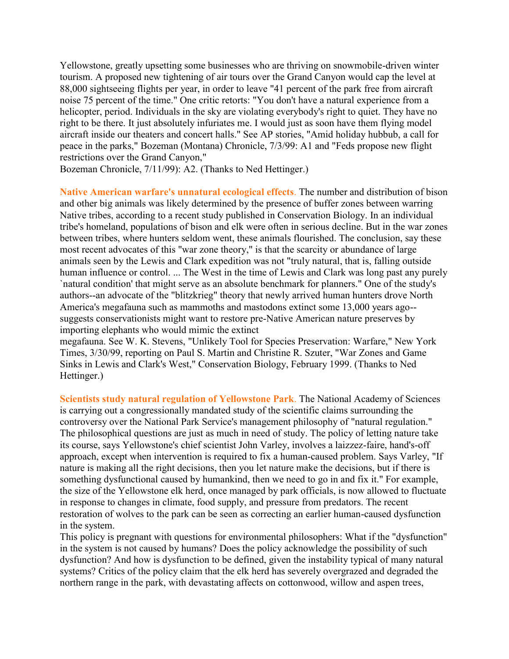Yellowstone, greatly upsetting some businesses who are thriving on snowmobile-driven winter tourism. A proposed new tightening of air tours over the Grand Canyon would cap the level at 88,000 sightseeing flights per year, in order to leave "41 percent of the park free from aircraft noise 75 percent of the time." One critic retorts: "You don't have a natural experience from a helicopter, period. Individuals in the sky are violating everybody's right to quiet. They have no right to be there. It just absolutely infuriates me. I would just as soon have them flying model aircraft inside our theaters and concert halls." See AP stories, "Amid holiday hubbub, a call for peace in the parks," Bozeman (Montana) Chronicle, 7/3/99: A1 and "Feds propose new flight restrictions over the Grand Canyon,"

Bozeman Chronicle, 7/11/99): A2. (Thanks to Ned Hettinger.)

**Native American warfare's unnatural ecological effects**. The number and distribution of bison and other big animals was likely determined by the presence of buffer zones between warring Native tribes, according to a recent study published in Conservation Biology. In an individual tribe's homeland, populations of bison and elk were often in serious decline. But in the war zones between tribes, where hunters seldom went, these animals flourished. The conclusion, say these most recent advocates of this "war zone theory," is that the scarcity or abundance of large animals seen by the Lewis and Clark expedition was not "truly natural, that is, falling outside human influence or control. ... The West in the time of Lewis and Clark was long past any purely `natural condition' that might serve as an absolute benchmark for planners." One of the study's authors--an advocate of the "blitzkrieg" theory that newly arrived human hunters drove North America's megafauna such as mammoths and mastodons extinct some 13,000 years ago- suggests conservationists might want to restore pre-Native American nature preserves by importing elephants who would mimic the extinct

megafauna. See W. K. Stevens, "Unlikely Tool for Species Preservation: Warfare," New York Times, 3/30/99, reporting on Paul S. Martin and Christine R. Szuter, "War Zones and Game Sinks in Lewis and Clark's West," Conservation Biology, February 1999. (Thanks to Ned Hettinger.)

**Scientists study natural regulation of Yellowstone Park**. The National Academy of Sciences is carrying out a congressionally mandated study of the scientific claims surrounding the controversy over the National Park Service's management philosophy of "natural regulation." The philosophical questions are just as much in need of study. The policy of letting nature take its course, says Yellowstone's chief scientist John Varley, involves a laizzez-faire, hand's-off approach, except when intervention is required to fix a human-caused problem. Says Varley, "If nature is making all the right decisions, then you let nature make the decisions, but if there is something dysfunctional caused by humankind, then we need to go in and fix it." For example, the size of the Yellowstone elk herd, once managed by park officials, is now allowed to fluctuate in response to changes in climate, food supply, and pressure from predators. The recent restoration of wolves to the park can be seen as correcting an earlier human-caused dysfunction in the system.

This policy is pregnant with questions for environmental philosophers: What if the "dysfunction" in the system is not caused by humans? Does the policy acknowledge the possibility of such dysfunction? And how is dysfunction to be defined, given the instability typical of many natural systems? Critics of the policy claim that the elk herd has severely overgrazed and degraded the northern range in the park, with devastating affects on cottonwood, willow and aspen trees,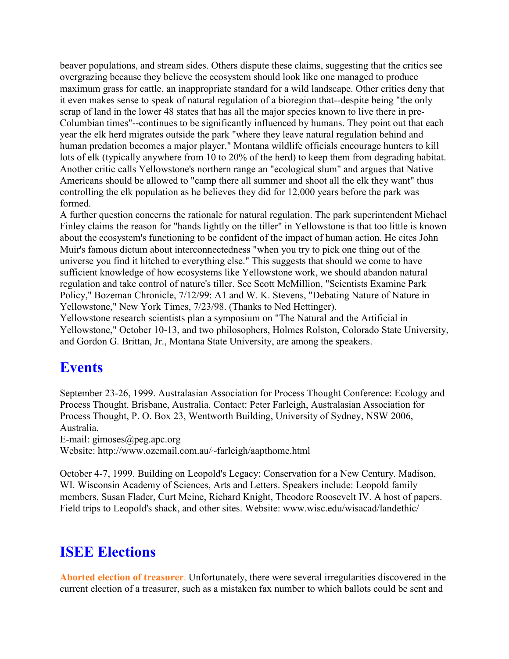beaver populations, and stream sides. Others dispute these claims, suggesting that the critics see overgrazing because they believe the ecosystem should look like one managed to produce maximum grass for cattle, an inappropriate standard for a wild landscape. Other critics deny that it even makes sense to speak of natural regulation of a bioregion that--despite being "the only scrap of land in the lower 48 states that has all the major species known to live there in pre-Columbian times"--continues to be significantly influenced by humans. They point out that each year the elk herd migrates outside the park "where they leave natural regulation behind and human predation becomes a major player." Montana wildlife officials encourage hunters to kill lots of elk (typically anywhere from 10 to 20% of the herd) to keep them from degrading habitat. Another critic calls Yellowstone's northern range an "ecological slum" and argues that Native Americans should be allowed to "camp there all summer and shoot all the elk they want" thus controlling the elk population as he believes they did for 12,000 years before the park was formed.

A further question concerns the rationale for natural regulation. The park superintendent Michael Finley claims the reason for "hands lightly on the tiller" in Yellowstone is that too little is known about the ecosystem's functioning to be confident of the impact of human action. He cites John Muir's famous dictum about interconnectedness "when you try to pick one thing out of the universe you find it hitched to everything else." This suggests that should we come to have sufficient knowledge of how ecosystems like Yellowstone work, we should abandon natural regulation and take control of nature's tiller. See Scott McMillion, "Scientists Examine Park Policy," Bozeman Chronicle, 7/12/99: A1 and W. K. Stevens, "Debating Nature of Nature in Yellowstone," New York Times, 7/23/98. (Thanks to Ned Hettinger).

Yellowstone research scientists plan a symposium on "The Natural and the Artificial in Yellowstone," October 10-13, and two philosophers, Holmes Rolston, Colorado State University, and Gordon G. Brittan, Jr., Montana State University, are among the speakers.

### **Events**

September 23-26, 1999. Australasian Association for Process Thought Conference: Ecology and Process Thought. Brisbane, Australia. Contact: Peter Farleigh, Australasian Association for Process Thought, P. O. Box 23, Wentworth Building, University of Sydney, NSW 2006, Australia.

E-mail: gimoses@peg.apc.org

Website: http://www.ozemail.com.au/~farleigh/aapthome.html

October 4-7, 1999. Building on Leopold's Legacy: Conservation for a New Century. Madison, WI. Wisconsin Academy of Sciences, Arts and Letters. Speakers include: Leopold family members, Susan Flader, Curt Meine, Richard Knight, Theodore Roosevelt IV. A host of papers. Field trips to Leopold's shack, and other sites. Website: www.wisc.edu/wisacad/landethic/

### **ISEE Elections**

**Aborted election of treasurer**. Unfortunately, there were several irregularities discovered in the current election of a treasurer, such as a mistaken fax number to which ballots could be sent and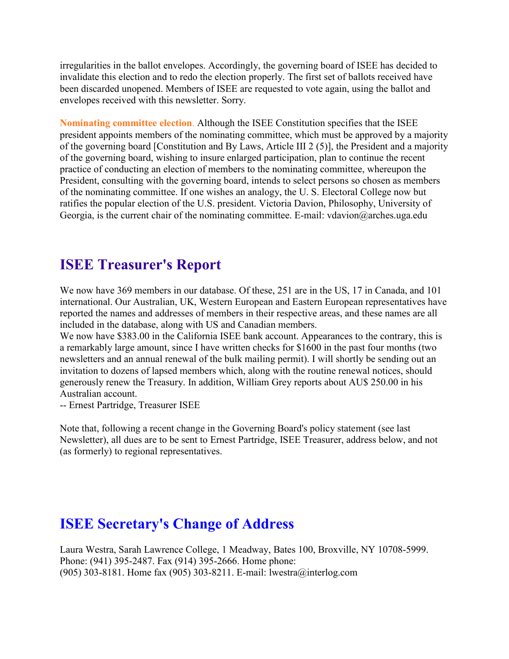irregularities in the ballot envelopes. Accordingly, the governing board of ISEE has decided to invalidate this election and to redo the election properly. The first set of ballots received have been discarded unopened. Members of ISEE are requested to vote again, using the ballot and envelopes received with this newsletter. Sorry.

**Nominating committee election**. Although the ISEE Constitution specifies that the ISEE president appoints members of the nominating committee, which must be approved by a majority of the governing board [Constitution and By Laws, Article III 2 (5)], the President and a majority of the governing board, wishing to insure enlarged participation, plan to continue the recent practice of conducting an election of members to the nominating committee, whereupon the President, consulting with the governing board, intends to select persons so chosen as members of the nominating committee. If one wishes an analogy, the U. S. Electoral College now but ratifies the popular election of the U.S. president. Victoria Davion, Philosophy, University of Georgia, is the current chair of the nominating committee. E-mail: vdavion@arches.uga.edu

### **ISEE Treasurer's Report**

We now have 369 members in our database. Of these, 251 are in the US, 17 in Canada, and 101 international. Our Australian, UK, Western European and Eastern European representatives have reported the names and addresses of members in their respective areas, and these names are all included in the database, along with US and Canadian members.

We now have \$383.00 in the California ISEE bank account. Appearances to the contrary, this is a remarkably large amount, since I have written checks for \$1600 in the past four months (two newsletters and an annual renewal of the bulk mailing permit). I will shortly be sending out an invitation to dozens of lapsed members which, along with the routine renewal notices, should generously renew the Treasury. In addition, William Grey reports about AU\$ 250.00 in his Australian account.

-- Ernest Partridge, Treasurer ISEE

Note that, following a recent change in the Governing Board's policy statement (see last Newsletter), all dues are to be sent to Ernest Partridge, ISEE Treasurer, address below, and not (as formerly) to regional representatives.

### **ISEE Secretary's Change of Address**

Laura Westra, Sarah Lawrence College, 1 Meadway, Bates 100, Broxville, NY 10708-5999. Phone: (941) 395-2487. Fax (914) 395-2666. Home phone: (905) 303-8181. Home fax (905) 303-8211. E-mail: lwestra@interlog.com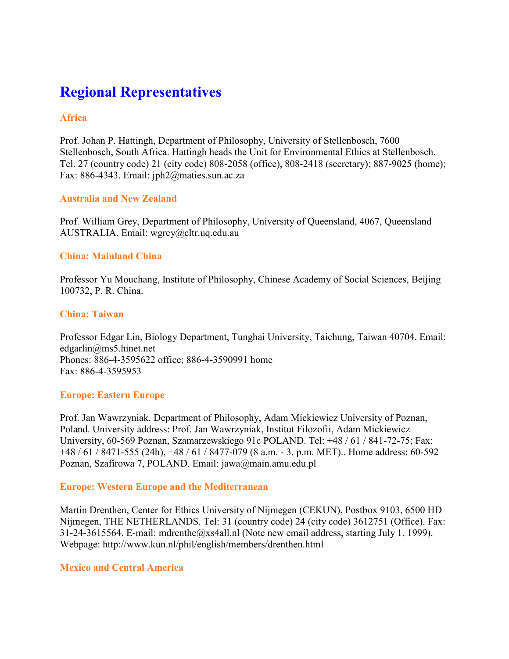# **Regional Representatives**

#### **Africa**

Prof. Johan P. Hattingh, Department of Philosophy, University of Stellenbosch, 7600 Stellenbosch, South Africa. Hattingh heads the Unit for Environmental Ethics at Stellenbosch. Tel. 27 (country code) 21 (city code) 808-2058 (office), 808-2418 (secretary); 887-9025 (home); Fax: 886-4343. Email: jph2@maties.sun.ac.za

#### **Australia and New Zealand**

Prof. William Grey, Department of Philosophy, University of Queensland, 4067, Queensland AUSTRALIA. Email: wgrey@cltr.uq.edu.au

#### **China: Mainland China**

Professor Yu Mouchang, Institute of Philosophy, Chinese Academy of Social Sciences, Beijing 100732, P. R. China.

#### **China: Taiwan**

Professor Edgar Lin, Biology Department, Tunghai University, Taichung, Taiwan 40704. Email: edgarlin@ms5.hinet.net Phones: 886-4-3595622 office; 886-4-3590991 home Fax: 886-4-3595953

#### **Europe: Eastern Europe**

Prof. Jan Wawrzyniak. Department of Philosophy, Adam Mickiewicz University of Poznan, Poland. University address: Prof. Jan Wawrzyniak, Institut Filozofii, Adam Mickiewicz University, 60-569 Poznan, Szamarzewskiego 91c POLAND. Tel: +48 / 61 / 841-72-75; Fax: +48 / 61 / 8471-555 (24h), +48 / 61 / 8477-079 (8 a.m. - 3. p.m. MET).. Home address: 60-592 Poznan, Szafirowa 7, POLAND. Email: jawa@main.amu.edu.pl

#### **Europe: Western Europe and the Mediterranean**

Martin Drenthen, Center for Ethics University of Nijmegen (CEKUN), Postbox 9103, 6500 HD Nijmegen, THE NETHERLANDS. Tel: 31 (country code) 24 (city code) 3612751 (Office). Fax: 31-24-3615564. E-mail: mdrenthe@xs4all.nl (Note new email address, starting July 1, 1999). Webpage: http://www.kun.nl/phil/english/members/drenthen.html

#### **Mexico and Central America**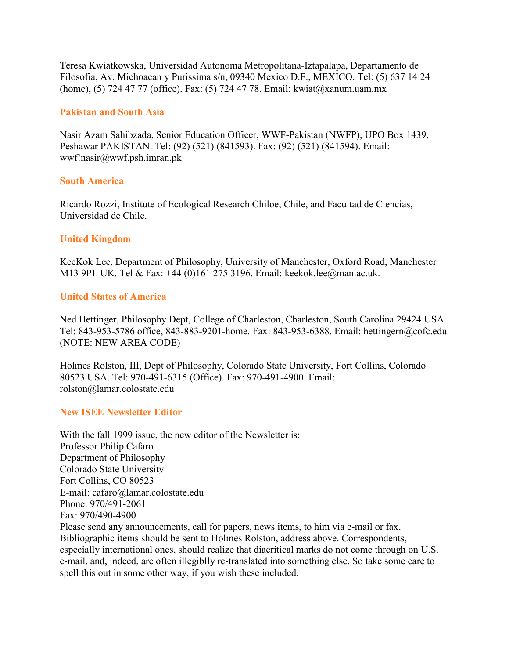Teresa Kwiatkowska, Universidad Autonoma Metropolitana-Iztapalapa, Departamento de Filosofia, Av. Michoacan y Purissima s/n, 09340 Mexico D.F., MEXICO. Tel: (5) 637 14 24 (home), (5) 724 47 77 (office). Fax: (5) 724 47 78. Email: kwiat@xanum.uam.mx

#### **Pakistan and South Asia**

Nasir Azam Sahibzada, Senior Education Officer, WWF-Pakistan (NWFP), UPO Box 1439, Peshawar PAKISTAN. Tel: (92) (521) (841593). Fax: (92) (521) (841594). Email: wwf!nasir@wwf.psh.imran.pk

#### **South America**

Ricardo Rozzi, Institute of Ecological Research Chiloe, Chile, and Facultad de Ciencias, Universidad de Chile.

#### **United Kingdom**

KeeKok Lee, Department of Philosophy, University of Manchester, Oxford Road, Manchester M13 9PL UK. Tel & Fax: +44 (0)161 275 3196. Email: keekok.lee@man.ac.uk.

#### **United States of America**

Ned Hettinger, Philosophy Dept, College of Charleston, Charleston, South Carolina 29424 USA. Tel: 843-953-5786 office, 843-883-9201-home. Fax: 843-953-6388. Email: hettingern@cofc.edu (NOTE: NEW AREA CODE)

Holmes Rolston, III, Dept of Philosophy, Colorado State University, Fort Collins, Colorado 80523 USA. Tel: 970-491-6315 (Office). Fax: 970-491-4900. Email: rolston@lamar.colostate.edu

#### **New ISEE Newsletter Editor**

With the fall 1999 issue, the new editor of the Newsletter is: Professor Philip Cafaro Department of Philosophy Colorado State University Fort Collins, CO 80523 E-mail: cafaro@lamar.colostate.edu Phone: 970/491-2061 Fax: 970/490-4900 Please send any announcements, call for papers, news items, to him via e-mail or fax. Bibliographic items should be sent to Holmes Rolston, address above. Correspondents, especially international ones, should realize that diacritical marks do not come through on U.S. e-mail, and, indeed, are often illegiblly re-translated into something else. So take some care to spell this out in some other way, if you wish these included.